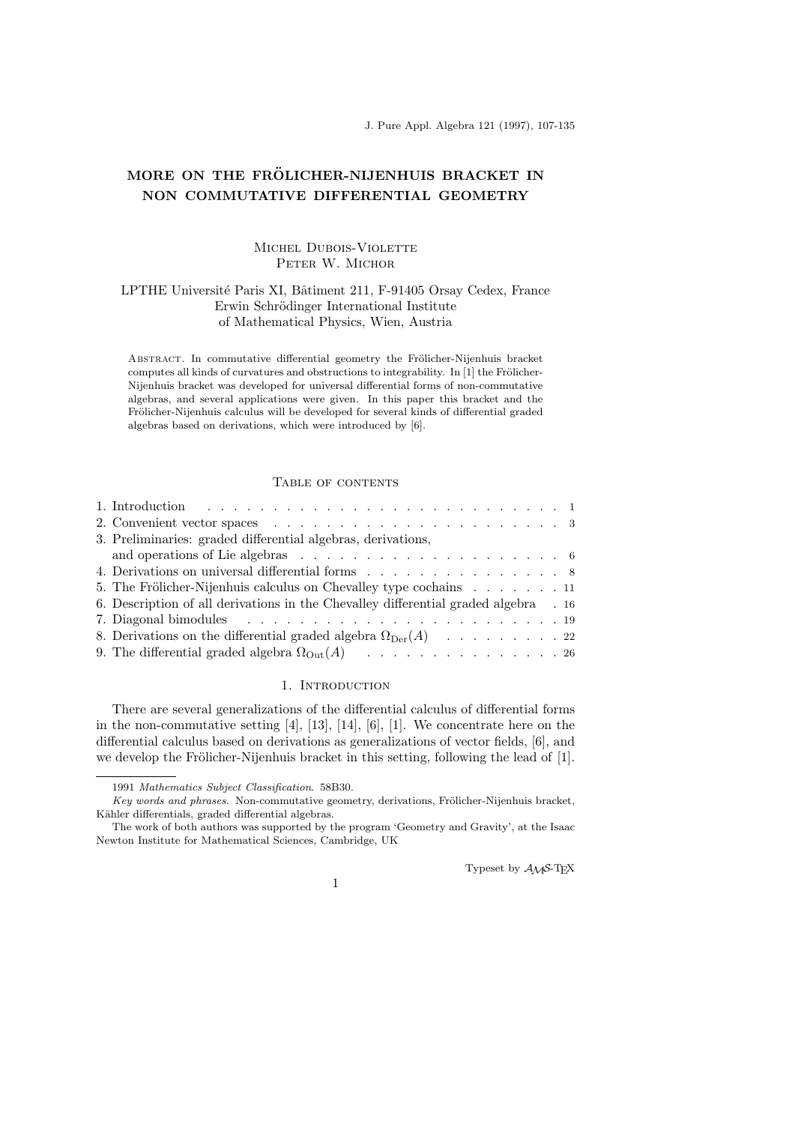J. Pure Appl. Algebra 121 (1997), 107-135

# MORE ON THE FRÖLICHER-NIJENHUIS BRACKET IN NON COMMUTATIVE DIFFERENTIAL GEOMETRY

## MICHEL DUBOIS-VIOLETTE PETER W. MICHOR

## LPTHE Université Paris XI, Bâtiment 211, F-91405 Orsay Cedex, France Erwin Schrödinger International Institute of Mathematical Physics, Wien, Austria

ABSTRACT. In commutative differential geometry the Frölicher-Nijenhuis bracket computes all kinds of curvatures and obstructions to integrability. In  $[1]$  the Frölicher-Nijenhuis bracket was developed for universal differential forms of non-commutative algebras, and several applications were given. In this paper this bracket and the Frölicher-Nijenhuis calculus will be developed for several kinds of differential graded algebras based on derivations, which were introduced by [6].

## Table of contents

| 3. Preliminaries: graded differential algebras, derivations,                                      |  |
|---------------------------------------------------------------------------------------------------|--|
| and operations of Lie algebras $\ldots \ldots \ldots \ldots \ldots \ldots \ldots \ldots \ldots 6$ |  |
| 4. Derivations on universal differential forms 8                                                  |  |
| 5. The Frölicher-Nijenhuis calculus on Chevalley type cochains 11                                 |  |
| 6. Description of all derivations in the Chevalley differential graded algebra 16                 |  |
|                                                                                                   |  |
| 8. Derivations on the differential graded algebra $\Omega_{\text{Der}}(A)$ 22                     |  |
| 9. The differential graded algebra $\Omega_{\text{Out}}(A)$ 26                                    |  |

#### 1. INTRODUCTION

There are several generalizations of the differential calculus of differential forms in the non-commutative setting [4], [13], [14], [6], [1]. We concentrate here on the differential calculus based on derivations as generalizations of vector fields, [6], and we develop the Frölicher-Nijenhuis bracket in this setting, following the lead of [1].

Typeset by  $\mathcal{A}\mathcal{M}$ S-TEX

1

<sup>1991</sup> Mathematics Subject Classification. 58B30.

Key words and phrases. Non-commutative geometry, derivations, Frölicher-Nijenhuis bracket, Kähler differentials, graded differential algebras.

The work of both authors was supported by the program 'Geometry and Gravity', at the Isaac Newton Institute for Mathematical Sciences, Cambridge, UK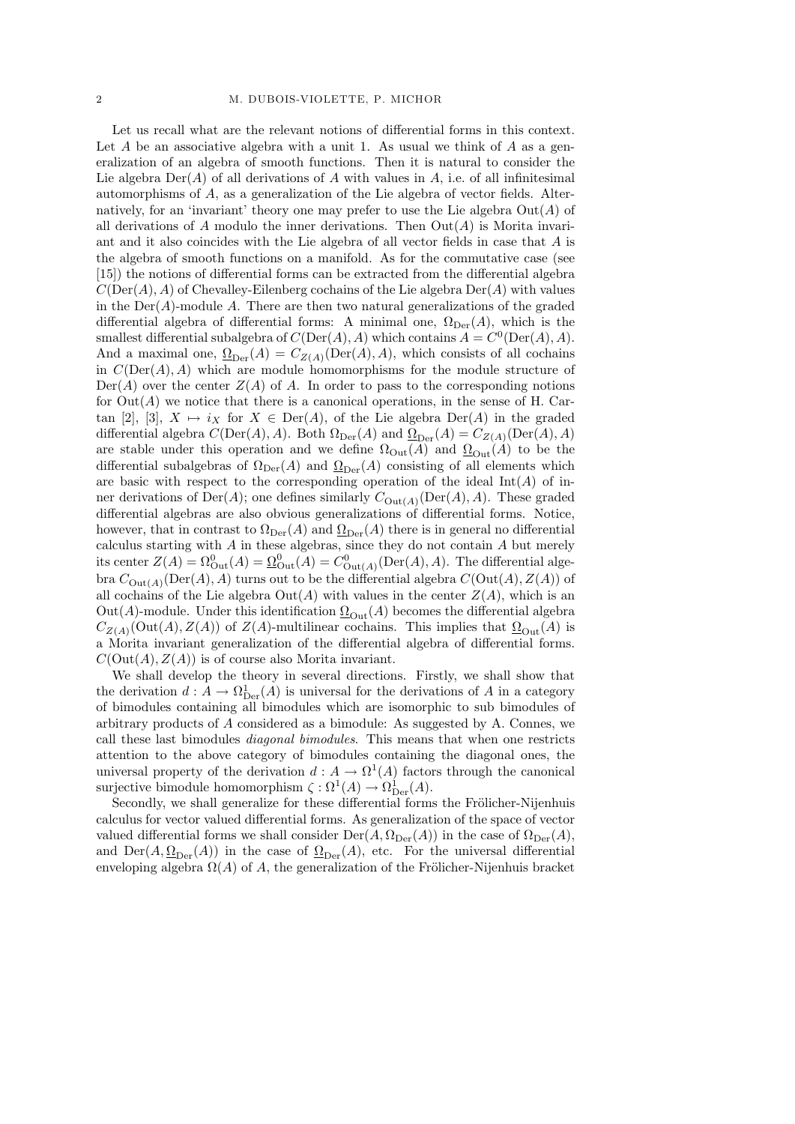Let us recall what are the relevant notions of differential forms in this context. Let A be an associative algebra with a unit 1. As usual we think of A as a generalization of an algebra of smooth functions. Then it is natural to consider the Lie algebra  $\text{Der}(A)$  of all derivations of A with values in A, i.e. of all infinitesimal automorphisms of A, as a generalization of the Lie algebra of vector fields. Alternatively, for an 'invariant' theory one may prefer to use the Lie algebra  $Out(A)$  of all derivations of A modulo the inner derivations. Then  $Out(A)$  is Morita invariant and it also coincides with the Lie algebra of all vector fields in case that A is the algebra of smooth functions on a manifold. As for the commutative case (see [15]) the notions of differential forms can be extracted from the differential algebra  $C(\text{Der}(A), A)$  of Chevalley-Eilenberg cochains of the Lie algebra  $\text{Der}(A)$  with values in the  $Der(A)$ -module A. There are then two natural generalizations of the graded differential algebra of differential forms: A minimal one,  $\Omega_{\text{Der}}(A)$ , which is the smallest differential subalgebra of  $C(\mathrm{Der}(A), A)$  which contains  $A = C^0(\mathrm{Der}(A), A)$ . And a maximal one,  $\Omega_{\text{Der}}(A) = C_{Z(A)}(\text{Der}(A), A)$ , which consists of all cochains in  $C(\text{Der}(A), A)$  which are module homomorphisms for the module structure of  $Der(A)$  over the center  $Z(A)$  of A. In order to pass to the corresponding notions for  $Out(A)$  we notice that there is a canonical operations, in the sense of H. Cartan [2], [3],  $X \mapsto i_X$  for  $X \in \text{Der}(A)$ , of the Lie algebra  $\text{Der}(A)$  in the graded differential algebra  $C(\text{Der}(A), A)$ . Both  $\Omega_{\text{Der}}(A)$  and  $\underline{\Omega}_{\text{Der}}(A) = C_{Z(A)}(\text{Der}(A), A)$ are stable under this operation and we define  $\Omega_{\text{Out}}(A)$  and  $\Omega_{\text{Out}}(A)$  to be the differential subalgebras of  $\Omega_{\text{Der}}(A)$  and  $\Omega_{\text{Der}}(A)$  consisting of all elements which are basic with respect to the corresponding operation of the ideal  $Int(A)$  of inner derivations of  $Der(A)$ ; one defines similarly  $C_{Out(A)}(Der(A), A)$ . These graded differential algebras are also obvious generalizations of differential forms. Notice, however, that in contrast to  $\Omega_{\text{Der}}(A)$  and  $\underline{\Omega}_{\text{Der}}(A)$  there is in general no differential calculus starting with  $A$  in these algebras, since they do not contain  $A$  but merely its center  $Z(A) = \Omega_{\text{Out}}^0(A) = \underline{\Omega}_{\text{Out}}^0(A) = C_{\text{Out}(A)}^0(\text{Der}(A), A)$ . The differential algebra  $C_{\text{Out}(A)}(\text{Der}(A), A)$  turns out to be the differential algebra  $C(\text{Out}(A), Z(A))$  of all cochains of the Lie algebra  $Out(A)$  with values in the center  $Z(A)$ , which is an Out(A)-module. Under this identification  $\Omega_{\text{Out}}(A)$  becomes the differential algebra  $C_{Z(A)}(\text{Out}(A), Z(A))$  of  $Z(A)$ -multilinear cochains. This implies that  $\Omega_{\text{Out}}(A)$  is a Morita invariant generalization of the differential algebra of differential forms.  $C(\text{Out}(A), Z(A))$  is of course also Morita invariant.

We shall develop the theory in several directions. Firstly, we shall show that the derivation  $d: A \to \Omega_{\text{Der}}^1(A)$  is universal for the derivations of A in a category of bimodules containing all bimodules which are isomorphic to sub bimodules of arbitrary products of A considered as a bimodule: As suggested by A. Connes, we call these last bimodules diagonal bimodules. This means that when one restricts attention to the above category of bimodules containing the diagonal ones, the universal property of the derivation  $d: A \to \Omega^1(A)$  factors through the canonical surjective bimodule homomorphism  $\zeta : \Omega^1(A) \to \Omega^1_{\text{Der}}(A)$ .

Secondly, we shall generalize for these differential forms the Frölicher-Nijenhuis calculus for vector valued differential forms. As generalization of the space of vector valued differential forms we shall consider  $\mathrm{Der}(A, \Omega_{\mathrm{Der}}(A))$  in the case of  $\Omega_{\mathrm{Der}}(A)$ , and  $\text{Der}(A, \underline{\Omega}_{\text{Der}}(A))$  in the case of  $\underline{\Omega}_{\text{Der}}(A)$ , etc. For the universal differential enveloping algebra  $\Omega(A)$  of A, the generalization of the Frölicher-Nijenhuis bracket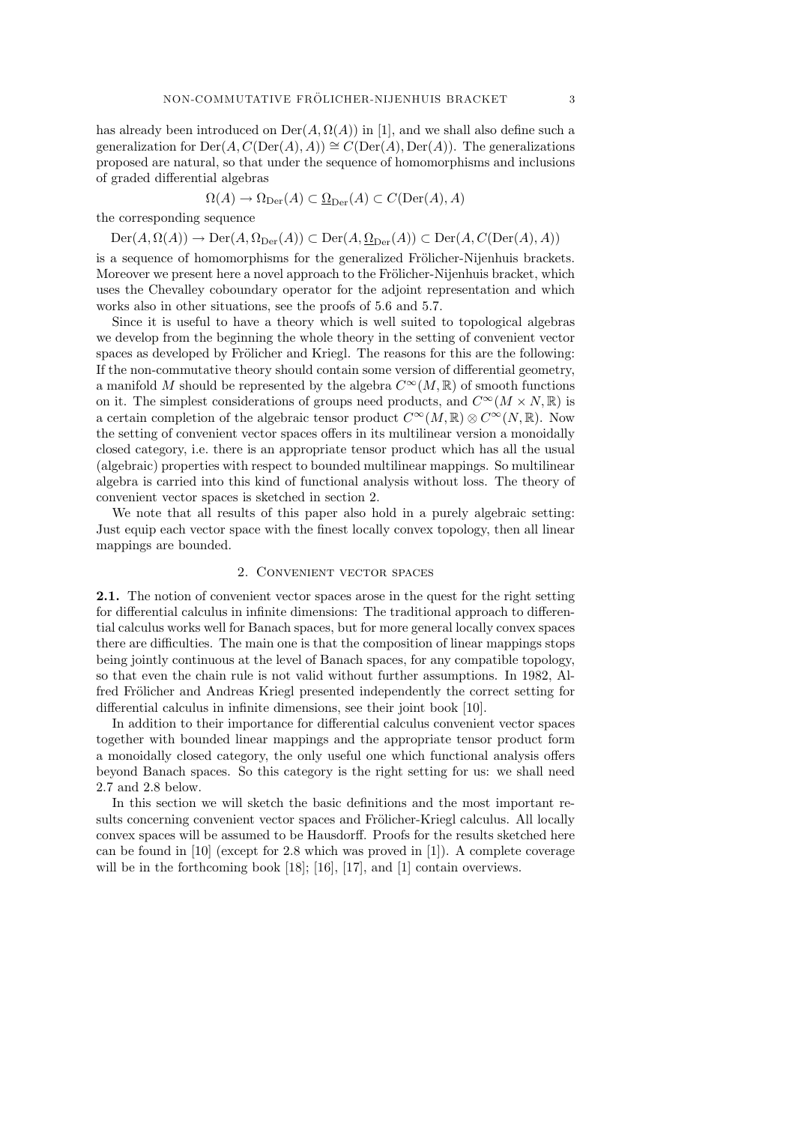has already been introduced on  $\text{Der}(A, \Omega(A))$  in [1], and we shall also define such a generalization for  $\text{Der}(A, C(\text{Der}(A), A)) \cong C(\text{Der}(A), \text{Der}(A))$ . The generalizations proposed are natural, so that under the sequence of homomorphisms and inclusions of graded differential algebras

$$
\Omega(A) \to \Omega_{\text{Der}}(A) \subset \underline{\Omega}_{\text{Der}}(A) \subset C(\text{Der}(A), A)
$$

the corresponding sequence

 $\mathrm{Der}(A, \Omega(A)) \to \mathrm{Der}(A, \Omega_{\mathrm{Der}}(A)) \subset \mathrm{Der}(A, \underline{\Omega}_{\mathrm{Der}}(A)) \subset \mathrm{Der}(A, C(\mathrm{Der}(A), A))$ 

is a sequence of homomorphisms for the generalized Frölicher-Nijenhuis brackets. Moreover we present here a novel approach to the Frölicher-Nijenhuis bracket, which uses the Chevalley coboundary operator for the adjoint representation and which works also in other situations, see the proofs of 5.6 and 5.7.

Since it is useful to have a theory which is well suited to topological algebras we develop from the beginning the whole theory in the setting of convenient vector spaces as developed by Frölicher and Kriegl. The reasons for this are the following: If the non-commutative theory should contain some version of differential geometry, a manifold M should be represented by the algebra  $C^{\infty}(M,\mathbb{R})$  of smooth functions on it. The simplest considerations of groups need products, and  $C^{\infty}(M \times N, \mathbb{R})$  is a certain completion of the algebraic tensor product  $C^{\infty}(M,\mathbb{R})\otimes C^{\infty}(N,\mathbb{R})$ . Now the setting of convenient vector spaces offers in its multilinear version a monoidally closed category, i.e. there is an appropriate tensor product which has all the usual (algebraic) properties with respect to bounded multilinear mappings. So multilinear algebra is carried into this kind of functional analysis without loss. The theory of convenient vector spaces is sketched in section 2.

We note that all results of this paper also hold in a purely algebraic setting: Just equip each vector space with the finest locally convex topology, then all linear mappings are bounded.

#### 2. Convenient vector spaces

2.1. The notion of convenient vector spaces arose in the quest for the right setting for differential calculus in infinite dimensions: The traditional approach to differential calculus works well for Banach spaces, but for more general locally convex spaces there are difficulties. The main one is that the composition of linear mappings stops being jointly continuous at the level of Banach spaces, for any compatible topology, so that even the chain rule is not valid without further assumptions. In 1982, Alfred Frölicher and Andreas Kriegl presented independently the correct setting for differential calculus in infinite dimensions, see their joint book [10].

In addition to their importance for differential calculus convenient vector spaces together with bounded linear mappings and the appropriate tensor product form a monoidally closed category, the only useful one which functional analysis offers beyond Banach spaces. So this category is the right setting for us: we shall need 2.7 and 2.8 below.

In this section we will sketch the basic definitions and the most important results concerning convenient vector spaces and Frölicher-Kriegl calculus. All locally convex spaces will be assumed to be Hausdorff. Proofs for the results sketched here can be found in [10] (except for 2.8 which was proved in [1]). A complete coverage will be in the forthcoming book [18]; [16], [17], and [1] contain overviews.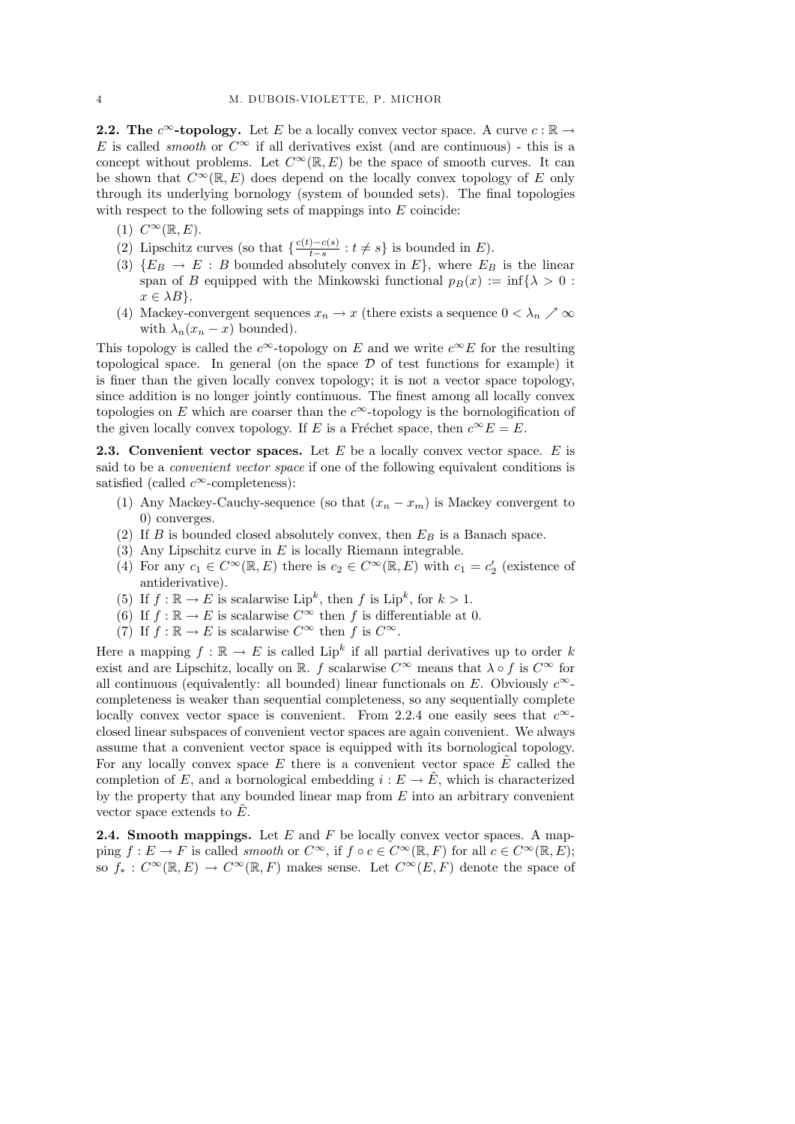**2.2.** The  $c^{\infty}$ -topology. Let E be a locally convex vector space. A curve  $c : \mathbb{R} \to$ E is called *smooth* or  $C^{\infty}$  if all derivatives exist (and are continuous) - this is a concept without problems. Let  $C^{\infty}(\mathbb{R}, E)$  be the space of smooth curves. It can be shown that  $C^{\infty}(\mathbb{R}, E)$  does depend on the locally convex topology of E only through its underlying bornology (system of bounded sets). The final topologies with respect to the following sets of mappings into  $E$  coincide:

- (1)  $C^{\infty}(\mathbb{R}, E)$ .
- (2) Lipschitz curves (so that  $\frac{c(t)-c(s)}{t-s}$  $\frac{t-s}{t-s}$  :  $t \neq s$ } is bounded in E).
- (3)  $\{E_B \rightarrow E : B$  bounded absolutely convex in  $E\}$ , where  $E_B$  is the linear span of B equipped with the Minkowski functional  $p_B(x) := \inf{\lambda > 0}$ :  $x \in \lambda B$ .
- (4) Mackey-convergent sequences  $x_n \to x$  (there exists a sequence  $0 < \lambda_n \nearrow \infty$ with  $\lambda_n(x_n - x)$  bounded).

This topology is called the c<sup>∞</sup>-topology on E and we write  $c^{\infty}E$  for the resulting topological space. In general (on the space  $D$  of test functions for example) it is finer than the given locally convex topology; it is not a vector space topology, since addition is no longer jointly continuous. The finest among all locally convex topologies on E which are coarser than the  $c^{\infty}$ -topology is the bornologification of the given locally convex topology. If E is a Fréchet space, then  $c^{\infty}E = E$ .

**2.3.** Convenient vector spaces. Let  $E$  be a locally convex vector space.  $E$  is said to be a convenient vector space if one of the following equivalent conditions is satisfied (called  $c^{\infty}$ -completeness):

- (1) Any Mackey-Cauchy-sequence (so that  $(x_n x_m)$  is Mackey convergent to 0) converges.
- (2) If  $B$  is bounded closed absolutely convex, then  $E_B$  is a Banach space.
- (3) Any Lipschitz curve in E is locally Riemann integrable.
- (4) For any  $c_1 \in C^{\infty}(\mathbb{R}, E)$  there is  $c_2 \in C^{\infty}(\mathbb{R}, E)$  with  $c_1 = c'_2$  (existence of antiderivative).
- (5) If  $f : \mathbb{R} \to E$  is scalarwise Lip<sup>k</sup>, then f is Lip<sup>k</sup>, for  $k > 1$ .
- (6) If  $f : \mathbb{R} \to E$  is scalarwise  $C^{\infty}$  then f is differentiable at 0.
- (7) If  $f : \mathbb{R} \to E$  is scalarwise  $C^{\infty}$  then f is  $C^{\infty}$ .

Here a mapping  $f : \mathbb{R} \to E$  is called Lip<sup>k</sup> if all partial derivatives up to order k exist and are Lipschitz, locally on R. f scalarwise  $C^{\infty}$  means that  $\lambda \circ f$  is  $C^{\infty}$  for all continuous (equivalently: all bounded) linear functionals on E. Obviously  $c^{\infty}$ completeness is weaker than sequential completeness, so any sequentially complete locally convex vector space is convenient. From 2.2.4 one easily sees that  $c^{\infty}$ closed linear subspaces of convenient vector spaces are again convenient. We always assume that a convenient vector space is equipped with its bornological topology. For any locally convex space  $E$  there is a convenient vector space  $E$  called the completion of E, and a bornological embedding  $i : E \to \tilde{E}$ , which is characterized by the property that any bounded linear map from  $E$  into an arbitrary convenient vector space extends to  $E$ .

**2.4. Smooth mappings.** Let  $E$  and  $F$  be locally convex vector spaces. A mapping  $f: E \to F$  is called smooth or  $C^{\infty}$ , if  $f \circ c \in C^{\infty}(\mathbb{R}, F)$  for all  $c \in C^{\infty}(\mathbb{R}, E)$ ; so  $f_*: C^\infty(\mathbb{R}, E) \to C^\infty(\mathbb{R}, F)$  makes sense. Let  $C^\infty(E, F)$  denote the space of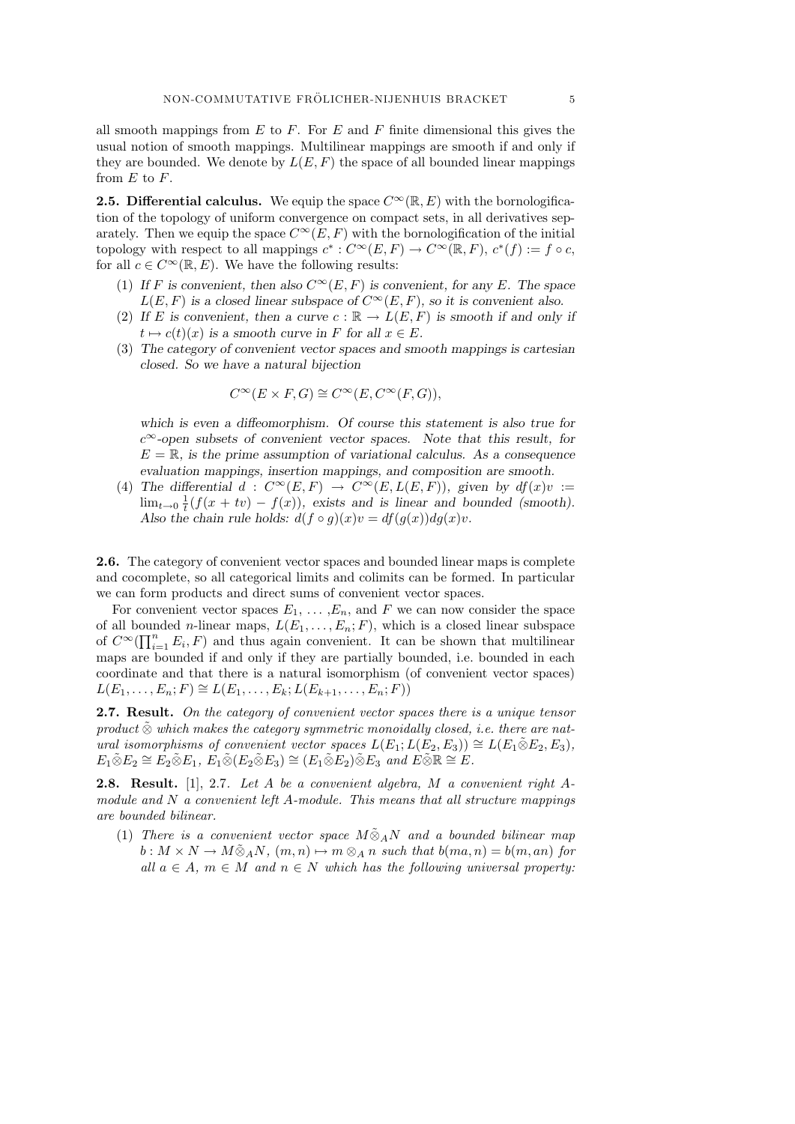all smooth mappings from  $E$  to  $F$ . For  $E$  and  $F$  finite dimensional this gives the usual notion of smooth mappings. Multilinear mappings are smooth if and only if they are bounded. We denote by  $L(E, F)$  the space of all bounded linear mappings from  $E$  to  $F$ .

**2.5. Differential calculus.** We equip the space  $C^{\infty}(\mathbb{R}, E)$  with the bornologification of the topology of uniform convergence on compact sets, in all derivatives separately. Then we equip the space  $C^{\infty}(E, F)$  with the bornologification of the initial topology with respect to all mappings  $c^* : C^\infty(E, F) \to C^\infty(\mathbb{R}, F)$ ,  $c^*(f) := f \circ c$ , for all  $c \in C^{\infty}(\mathbb{R}, E)$ . We have the following results:

- (1) If F is convenient, then also  $C^{\infty}(E, F)$  is convenient, for any E. The space  $L(E, F)$  is a closed linear subspace of  $C^{\infty}(E, F)$ , so it is convenient also.
- (2) If E is convenient, then a curve  $c : \mathbb{R} \to L(E, F)$  is smooth if and only if  $t \mapsto c(t)(x)$  is a smooth curve in F for all  $x \in E$ .
- (3) The category of convenient vector spaces and smooth mappings is cartesian closed. So we have a natural bijection

$$
C^{\infty}(E \times F, G) \cong C^{\infty}(E, C^{\infty}(F, G)),
$$

which is even a diffeomorphism. Of course this statement is also true for  $c^{\infty}$ -open subsets of convenient vector spaces. Note that this result, for  $E = \mathbb{R}$ , is the prime assumption of variational calculus. As a consequence evaluation mappings, insertion mappings, and composition are smooth.

(4) The differential  $d: C^{\infty}(E, F) \to C^{\infty}(E, L(E, F))$ , given by  $df(x)v :=$  $\lim_{t\to 0} \frac{1}{t}(f(x+tv) - f(x))$ , exists and is linear and bounded (smooth). Also the chain rule holds:  $d(f \circ g)(x)v = df(g(x))dg(x)v$ .

2.6. The category of convenient vector spaces and bounded linear maps is complete and cocomplete, so all categorical limits and colimits can be formed. In particular we can form products and direct sums of convenient vector spaces.

For convenient vector spaces  $E_1, \ldots, E_n$ , and F we can now consider the space of all bounded *n*-linear maps,  $L(E_1, \ldots, E_n; F)$ , which is a closed linear subspace of  $C^{\infty}(\prod_{i=1}^{n} E_i, F)$  and thus again convenient. It can be shown that multilinear maps are bounded if and only if they are partially bounded, i.e. bounded in each coordinate and that there is a natural isomorphism (of convenient vector spaces)  $L(E_1, \ldots, E_n; F) \cong L(E_1, \ldots, E_k; L(E_{k+1}, \ldots, E_n; F))$ 

**2.7. Result.** On the category of convenient vector spaces there is a unique tensor product  $\tilde{\otimes}$  which makes the category symmetric monoidally closed, i.e. there are natural isomorphisms of convenient vector spaces  $L(E_1;L(E_2, E_3)) \cong L(E_1 \tilde{\otimes} E_2, E_3)$ ,  $E_1 \widetilde{\otimes} E_2 \cong E_2 \widetilde{\otimes} E_1, E_1 \widetilde{\otimes} (E_2 \widetilde{\otimes} E_3) \cong (E_1 \widetilde{\otimes} E_2) \widetilde{\otimes} E_3$  and  $E \widetilde{\otimes} \mathbb{R} \cong E$ .

2.8. Result. [1], 2.7. Let A be a convenient algebra, M a convenient right Amodule and  $N$  a convenient left A-module. This means that all structure mappings are bounded bilinear.

(1) There is a convenient vector space  $M\tilde{\otimes}_A N$  and a bounded bilinear map  $b: M \times N \to M \tilde{\otimes}_A N$ ,  $(m, n) \mapsto m \otimes_A n$  such that  $b(ma, n) = b(m, an)$  for all  $a \in A$ ,  $m \in M$  and  $n \in N$  which has the following universal property: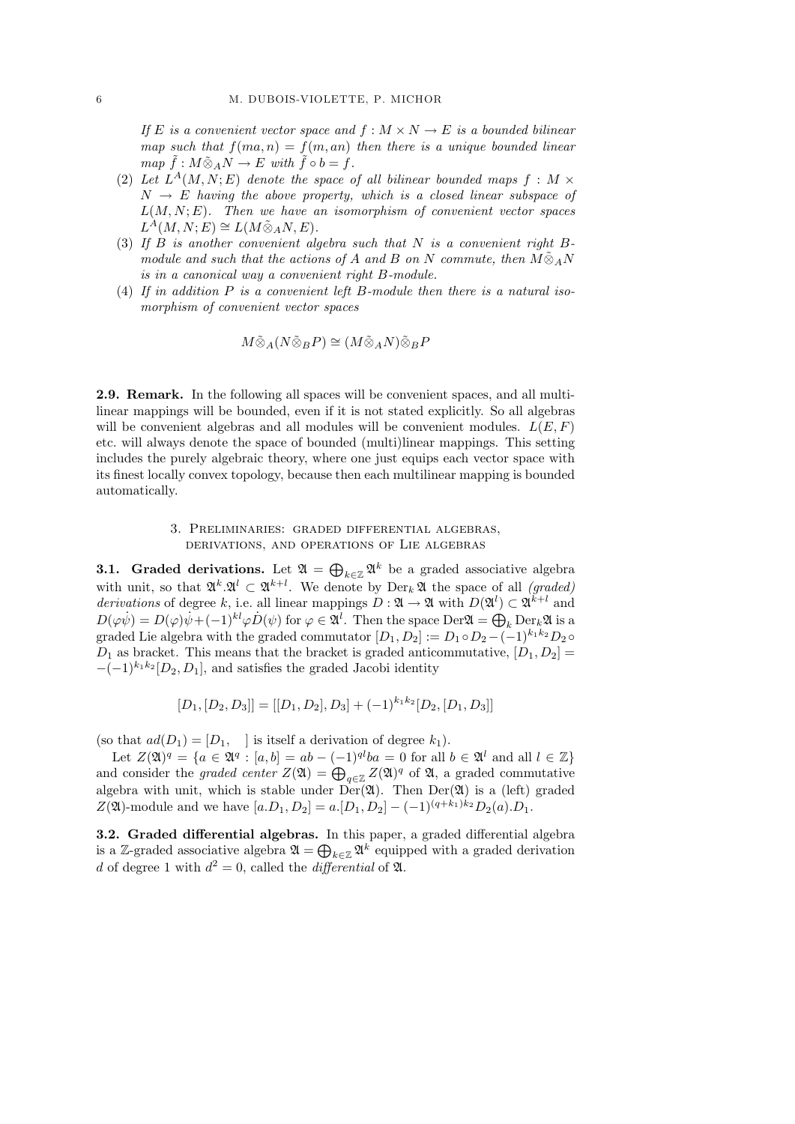If E is a convenient vector space and  $f : M \times N \to E$  is a bounded bilinear map such that  $f(m, n) = f(m, an)$  then there is a unique bounded linear  $map \ \tilde{f}: M \tilde{\otimes}_A N \to E \ with \ \tilde{f} \circ b = f.$ 

- (2) Let  $L^A(M, N; E)$  denote the space of all bilinear bounded maps  $f : M \times$  $N \rightarrow E$  having the above property, which is a closed linear subspace of  $L(M, N; E)$ . Then we have an isomorphism of convenient vector spaces  $L^{\hat{A}}(M,N;E) \cong L(M \tilde{\otimes}_A N,E).$
- (3) If B is another convenient algebra such that N is a convenient right  $B$ module and such that the actions of A and B on N commute, then  $M\tilde{\otimes}_A N$ is in a canonical way a convenient right B-module.
- (4) If in addition  $P$  is a convenient left  $B$ -module then there is a natural isomorphism of convenient vector spaces

$$
M\tilde{\otimes}_A(N\tilde{\otimes}_BP)\cong (M\tilde{\otimes}_AN)\tilde{\otimes}_BP
$$

2.9. Remark. In the following all spaces will be convenient spaces, and all multilinear mappings will be bounded, even if it is not stated explicitly. So all algebras will be convenient algebras and all modules will be convenient modules.  $L(E, F)$ etc. will always denote the space of bounded (multi)linear mappings. This setting includes the purely algebraic theory, where one just equips each vector space with its finest locally convex topology, because then each multilinear mapping is bounded automatically.

### 3. Preliminaries: graded differential algebras, derivations, and operations of Lie algebras

**3.1.** Graded derivations. Let  $\mathfrak{A} = \bigoplus_{k \in \mathbb{Z}} \mathfrak{A}^k$  be a graded associative algebra with unit, so that  $\mathfrak{A}^k \mathfrak{A}^l \subset \mathfrak{A}^{k+l}$ . We denote by  $\text{Der}_k \mathfrak{A}$  the space of all *(graded)* derivations of degree k, i.e. all linear mappings  $D: \mathfrak{A} \to \mathfrak{A}$  with  $D(\mathfrak{A}^l) \subset \mathfrak{A}^{k+l}$  and  $D(\varphi \psi) = D(\varphi)\dot{\psi} + (-1)^{kl}\varphi \dot{D}(\psi)$  for  $\varphi \in \mathfrak{A}^l$ . Then the space Der $\mathfrak{A} = \bigoplus_k \text{Der}_k \mathfrak{A}$  is a graded Lie algebra with the graded commutator  $[D_1, D_2] := D_1 \circ D_2 - (-1)^{k_1 k_2} D_2 \circ$  $D_1$  as bracket. This means that the bracket is graded anticommutative,  $[D_1, D_2] =$  $-(-1)^{k_1k_2}[D_2, D_1]$ , and satisfies the graded Jacobi identity

$$
[D_1, [D_2, D_3]] = [[D_1, D_2], D_3] + (-1)^{k_1 k_2} [D_2, [D_1, D_3]]
$$

(so that  $ad(D_1) = [D_1, \dots]$  is itself a derivation of degree  $k_1$ ).

Let  $Z(\mathfrak{A})^q = \{a \in \mathfrak{A}^q : [a, b] = ab - (-1)^{ql}ba = 0 \text{ for all } b \in \mathfrak{A}^l \text{ and all } l \in \mathbb{Z}\}\$ and consider the graded center  $Z(\mathfrak{A}) = \bigoplus_{q \in \mathbb{Z}} Z(\mathfrak{A})^q$  of  $\mathfrak{A}$ , a graded commutative algebra with unit, which is stable under  $Der(\mathfrak{A})$ . Then  $Der(\mathfrak{A})$  is a (left) graded Z(\20)-module and we have  $[a.D_1, D_2] = a.[D_1, D_2] - (-1)^{(q+k_1)k_2}D_2(a).D_1.$ 

3.2. Graded differential algebras. In this paper, a graded differential algebra is a Z-graded associative algebra  $\mathfrak{A} = \bigoplus_{k \in \mathbb{Z}} \mathfrak{A}^k$  equipped with a graded derivation d of degree 1 with  $d^2 = 0$ , called the differential of  $\mathfrak{A}$ .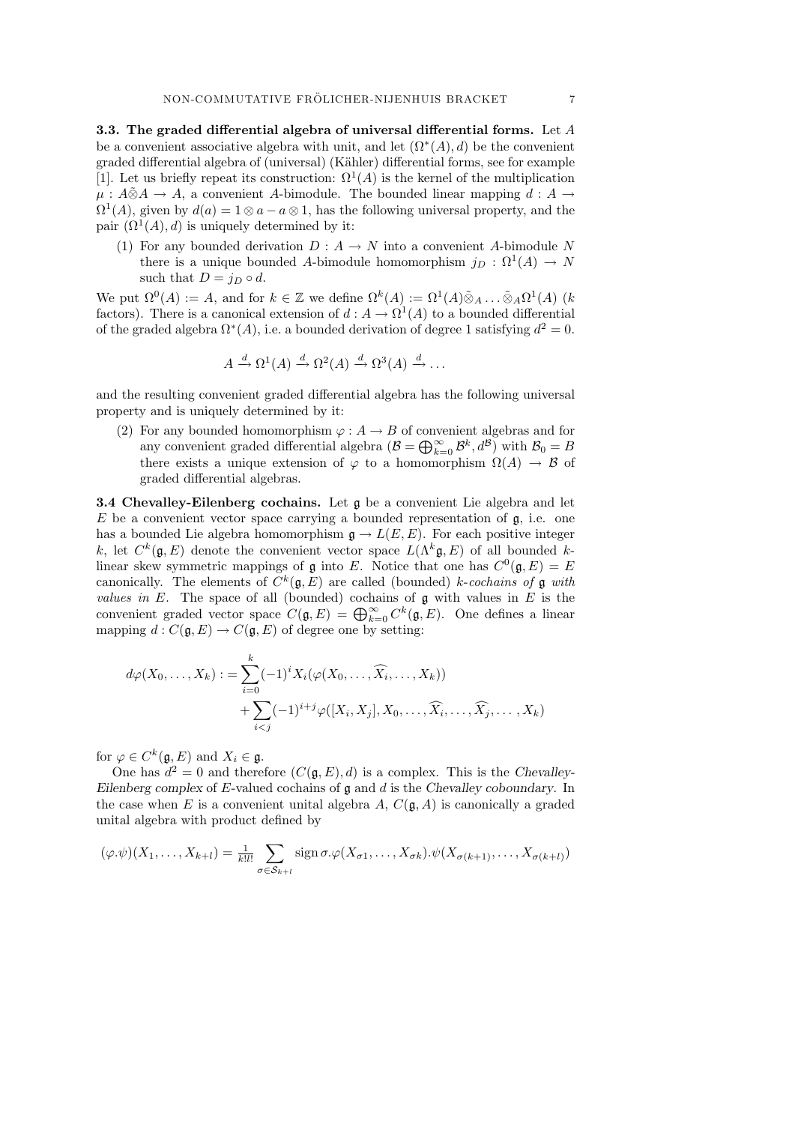3.3. The graded differential algebra of universal differential forms. Let  $A$ be a convenient associative algebra with unit, and let  $(\Omega^*(A), d)$  be the convenient graded differential algebra of (universal) (K¨ahler) differential forms, see for example [1]. Let us briefly repeat its construction:  $\Omega^1(A)$  is the kernel of the multiplication  $\mu : A \tilde{\otimes} A \to A$ , a convenient A-bimodule. The bounded linear mapping  $d : A \to A$  $\Omega^1(A)$ , given by  $d(a) = 1 \otimes a - a \otimes 1$ , has the following universal property, and the pair  $(\Omega^1(A), d)$  is uniquely determined by it:

(1) For any bounded derivation  $D: A \to N$  into a convenient A-bimodule N there is a unique bounded A-bimodule homomorphism  $j_D : \Omega^1(A) \to N$ such that  $D = j_D \circ d$ .

We put  $\Omega^0(A) := A$ , and for  $k \in \mathbb{Z}$  we define  $\Omega^k(A) := \Omega^1(A) \tilde{\otimes}_A \dots \tilde{\otimes}_A \Omega^1(A)$  (k factors). There is a canonical extension of  $d : A \to \Omega^1(A)$  to a bounded differential of the graded algebra  $\Omega^*(A)$ , i.e. a bounded derivation of degree 1 satisfying  $d^2 = 0$ .

$$
A \xrightarrow{d} \Omega^1(A) \xrightarrow{d} \Omega^2(A) \xrightarrow{d} \Omega^3(A) \xrightarrow{d} \dots
$$

and the resulting convenient graded differential algebra has the following universal property and is uniquely determined by it:

(2) For any bounded homomorphism  $\varphi : A \to B$  of convenient algebras and for any convenient graded differential algebra  $(B = \bigoplus_{k=0}^{\infty} \mathcal{B}^k, d^{\mathcal{B}})$  with  $\mathcal{B}_0 = B$ there exists a unique extension of  $\varphi$  to a homomorphism  $\Omega(A) \to \mathcal{B}$  of graded differential algebras.

3.4 Chevalley-Eilenberg cochains. Let g be a convenient Lie algebra and let  $E$  be a convenient vector space carrying a bounded representation of  $g$ , i.e. one has a bounded Lie algebra homomorphism  $\mathfrak{g} \to L(E, E)$ . For each positive integer k, let  $C^k(\mathfrak{g}, E)$  denote the convenient vector space  $L(\Lambda^k \mathfrak{g}, E)$  of all bounded klinear skew symmetric mappings of  $\mathfrak g$  into E. Notice that one has  $C^0(\mathfrak g,E)=E$ canonically. The elements of  $C^k(\mathfrak{g}, E)$  are called (bounded) k-cochains of g with *values in*  $E$ . The space of all (bounded) cochains of  $\mathfrak g$  with values in  $E$  is the convenient graded vector space  $C(\mathfrak{g}, E) = \bigoplus_{k=0}^{\infty} C^k(\mathfrak{g}, E)$ . One defines a linear mapping  $d: C(\mathfrak{g}, E) \to C(\mathfrak{g}, E)$  of degree one by setting:

$$
d\varphi(X_0,\ldots,X_k) := \sum_{i=0}^k (-1)^i X_i(\varphi(X_0,\ldots,\widehat{X}_i,\ldots,X_k))
$$
  
+ 
$$
\sum_{i
$$

for  $\varphi \in C^k(\mathfrak{g}, E)$  and  $X_i \in \mathfrak{g}$ .

One has  $d^2 = 0$  and therefore  $(C(\mathfrak{g}, E), d)$  is a complex. This is the Chevalley-Eilenberg complex of E-valued cochains of  $\mathfrak g$  and  $d$  is the Chevalley coboundary. In the case when E is a convenient unital algebra A,  $C(\mathfrak{g}, A)$  is canonically a graded unital algebra with product defined by

$$
(\varphi.\psi)(X_1,\ldots,X_{k+l})=\frac{1}{k!l!}\sum_{\sigma\in S_{k+l}}\operatorname{sign}\sigma.\varphi(X_{\sigma1},\ldots,X_{\sigma k}).\psi(X_{\sigma(k+1)},\ldots,X_{\sigma(k+l)})
$$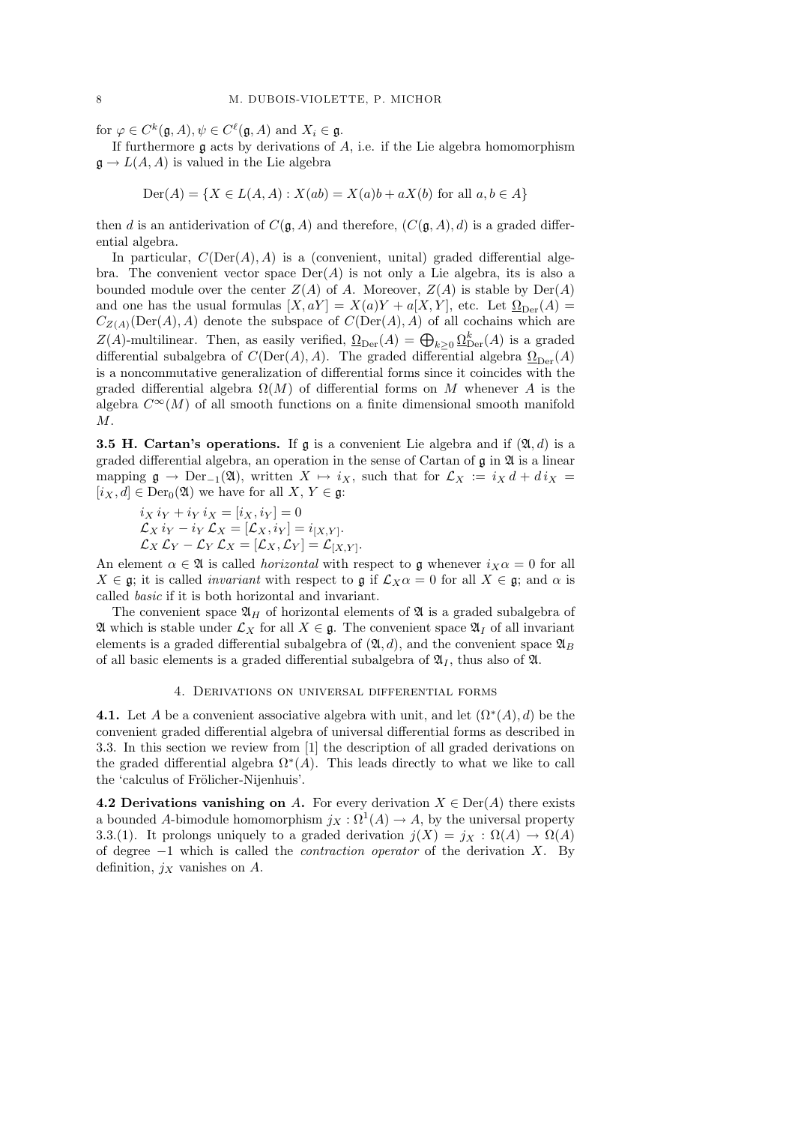for  $\varphi \in C^k(\mathfrak{g}, A), \psi \in C^\ell(\mathfrak{g}, A)$  and  $X_i \in \mathfrak{g}$ .

If furthermore  $\mathfrak g$  acts by derivations of  $A$ , i.e. if the Lie algebra homomorphism  $\mathfrak{g} \to L(A, A)$  is valued in the Lie algebra

$$
Der(A) = \{ X \in L(A, A) : X(ab) = X(a)b + aX(b) \text{ for all } a, b \in A \}
$$

then d is an antiderivation of  $C(\mathfrak{g}, A)$  and therefore,  $(C(\mathfrak{g}, A), d)$  is a graded differential algebra.

In particular,  $C(\text{Der}(A), A)$  is a (convenient, unital) graded differential algebra. The convenient vector space  $\text{Der}(A)$  is not only a Lie algebra, its is also a bounded module over the center  $Z(A)$  of A. Moreover,  $Z(A)$  is stable by  $Der(A)$ and one has the usual formulas  $[X, aY] = X(a)Y + a[X, Y]$ , etc. Let  $\Omega_{\text{Der}}(A) =$  $C_{Z(A)}(\text{Der}(A), A)$  denote the subspace of  $C(\text{Der}(A), A)$  of all cochains which are Z(A)-multilinear. Then, as easily verified,  $\Omega_{\text{Der}}(A) = \bigoplus_{k \geq 0} \Omega_{\text{Der}}^k(A)$  is a graded differential subalgebra of  $C(\text{Der}(A), A)$ . The graded differential algebra  $\Omega_{\text{Der}}(A)$ is a noncommutative generalization of differential forms since it coincides with the graded differential algebra  $\Omega(M)$  of differential forms on M whenever A is the algebra  $C^{\infty}(M)$  of all smooth functions on a finite dimensional smooth manifold M.

**3.5 H. Cartan's operations.** If  $\mathfrak{g}$  is a convenient Lie algebra and if  $(\mathfrak{A}, d)$  is a graded differential algebra, an operation in the sense of Cartan of  $\mathfrak g$  in  $\mathfrak A$  is a linear mapping  $\mathfrak{g} \to \text{Der}_{-1}(\mathfrak{A})$ , written  $X \mapsto i_X$ , such that for  $\mathcal{L}_X := i_X d + d i_X =$  $[i_X, d] \in \text{Der}_{0}(\mathfrak{A})$  we have for all  $X, Y \in \mathfrak{g}$ :

$$
\begin{aligned}\ni_X i_Y + i_Y i_X &= [i_X, i_Y] = 0\\ \mathcal{L}_X i_Y - i_Y \mathcal{L}_X &= [\mathcal{L}_X, i_Y] = i_{[X,Y]}\\ \mathcal{L}_X \mathcal{L}_Y - \mathcal{L}_Y \mathcal{L}_X &= [\mathcal{L}_X, \mathcal{L}_Y] = \mathcal{L}_{[X,Y]}.\n\end{aligned}
$$

An element  $\alpha \in \mathfrak{A}$  is called *horizontal* with respect to g whenever  $i_X \alpha = 0$  for all  $X \in \mathfrak{g}$ ; it is called *invariant* with respect to  $\mathfrak{g}$  if  $\mathcal{L}_X \alpha = 0$  for all  $X \in \mathfrak{g}$ ; and  $\alpha$  is called basic if it is both horizontal and invariant.

The convenient space  $\mathfrak{A}_H$  of horizontal elements of  $\mathfrak A$  is a graded subalgebra of  $\mathfrak A$  which is stable under  $\mathcal L_X$  for all  $X \in \mathfrak g$ . The convenient space  $\mathfrak A_I$  of all invariant elements is a graded differential subalgebra of  $(\mathfrak{A}, d)$ , and the convenient space  $\mathfrak{A}_B$ of all basic elements is a graded differential subalgebra of  $\mathfrak{A}_I$ , thus also of  $\mathfrak{A}$ .

#### 4. Derivations on universal differential forms

**4.1.** Let A be a convenient associative algebra with unit, and let  $(\Omega^*(A), d)$  be the convenient graded differential algebra of universal differential forms as described in 3.3. In this section we review from [1] the description of all graded derivations on the graded differential algebra  $\Omega^*(A)$ . This leads directly to what we like to call the 'calculus of Frölicher-Nijenhuis'.

4.2 Derivations vanishing on A. For every derivation  $X \in \text{Der}(A)$  there exists a bounded A-bimodule homomorphism  $j_X : \Omega^1(A) \to A$ , by the universal property 3.3.(1). It prolongs uniquely to a graded derivation  $j(X) = j_X : \Omega(A) \to \Omega(A)$ of degree  $-1$  which is called the *contraction operator* of the derivation X. By definition,  $j_X$  vanishes on A.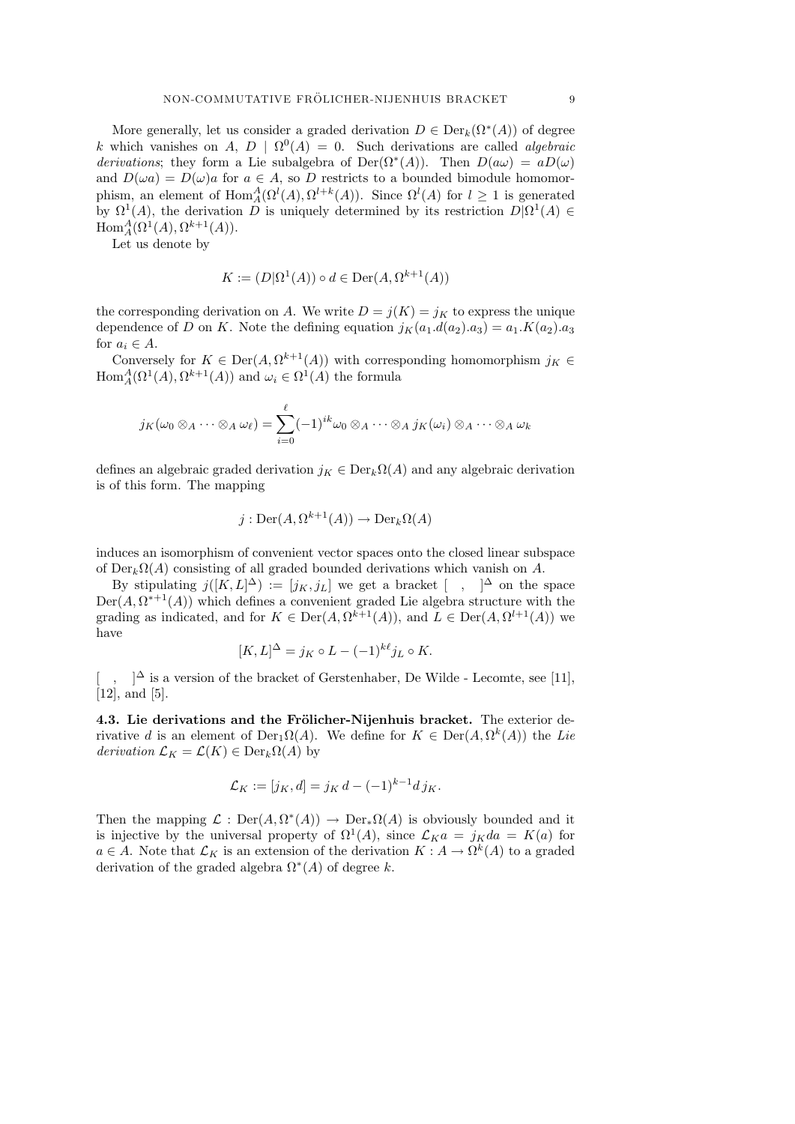More generally, let us consider a graded derivation  $D \in \text{Der}_k(\Omega^*(A))$  of degree k which vanishes on A,  $D | \Omega^0(A) = 0$ . Such derivations are called *algebraic* derivations; they form a Lie subalgebra of Der( $\Omega^*(A)$ ). Then  $D(a\omega) = aD(\omega)$ and  $D(\omega a) = D(\omega)a$  for  $a \in A$ , so D restricts to a bounded bimodule homomorphism, an element of  $\text{Hom}_A^A(\Omega^l(A), \Omega^{l+k}(A))$ . Since  $\Omega^l(A)$  for  $l \geq 1$  is generated by  $\Omega^1(A)$ , the derivation D is uniquely determined by its restriction  $D|\Omega^1(A) \in$  $\text{Hom}_A^A(\Omega^1(A), \Omega^{k+1}(A)).$ 

Let us denote by

$$
K := (D|\Omega^1(A)) \circ d \in \text{Der}(A, \Omega^{k+1}(A))
$$

the corresponding derivation on A. We write  $D = j(K) = j_K$  to express the unique dependence of D on K. Note the defining equation  $j_K(a_1.d(a_2).a_3) = a_1.K(a_2).a_3$ for  $a_i \in A$ .

Conversely for  $K \in \text{Der}(A, \Omega^{k+1}(A))$  with corresponding homomorphism  $j_K \in$  $\text{Hom}_{A}^{A}(\Omega^1(A), \Omega^{k+1}(A))$  and  $\omega_i \in \Omega^1(A)$  the formula

$$
j_K(\omega_0\otimes_A\cdots\otimes_A\omega_\ell)=\sum_{i=0}^\ell (-1)^{ik}\omega_0\otimes_A\cdots\otimes_A j_K(\omega_i)\otimes_A\cdots\otimes_A\omega_k
$$

defines an algebraic graded derivation  $j_K \in \text{Der}_k\Omega(A)$  and any algebraic derivation is of this form. The mapping

$$
j: \operatorname{Der}(A, \Omega^{k+1}(A)) \to \operatorname{Der}_k \Omega(A)
$$

induces an isomorphism of convenient vector spaces onto the closed linear subspace of  $Der_k\Omega(A)$  consisting of all graded bounded derivations which vanish on A.

By stipulating  $j([K,L]^{\Delta}) := [j_K, j_L]$  we get a bracket  $[ , ]^{\Delta}$  on the space  $Der(A, \Omega^{*+1}(A))$  which defines a convenient graded Lie algebra structure with the grading as indicated, and for  $K \in \text{Der}(A, \Omega^{k+1}(A))$ , and  $L \in \text{Der}(A, \Omega^{l+1}(A))$  we have

$$
[K,L]^{\Delta} = j_K \circ L - (-1)^{k\ell} j_L \circ K.
$$

[,  $\alpha$  ]<sup>∆</sup> is a version of the bracket of Gerstenhaber, De Wilde - Lecomte, see [11], [12], and [5].

4.3. Lie derivations and the Frölicher-Nijenhuis bracket. The exterior derivative d is an element of  $Der_{1}\Omega(A)$ . We define for  $K \in Der(A, \Omega^{k}(A))$  the Lie derivation  $\mathcal{L}_K = \mathcal{L}(K) \in \text{Der}_k\Omega(A)$  by

$$
\mathcal{L}_K := [j_K, d] = j_K d - (-1)^{k-1} d j_K.
$$

Then the mapping  $\mathcal{L} : Der(A, \Omega^*(A)) \to Der_*\Omega(A)$  is obviously bounded and it is injective by the universal property of  $\Omega^1(A)$ , since  $\mathcal{L}_K a = j_K da = K(a)$  for  $a \in A$ . Note that  $\mathcal{L}_K$  is an extension of the derivation  $K : A \to \Omega^k(A)$  to a graded derivation of the graded algebra  $\Omega^*(A)$  of degree k.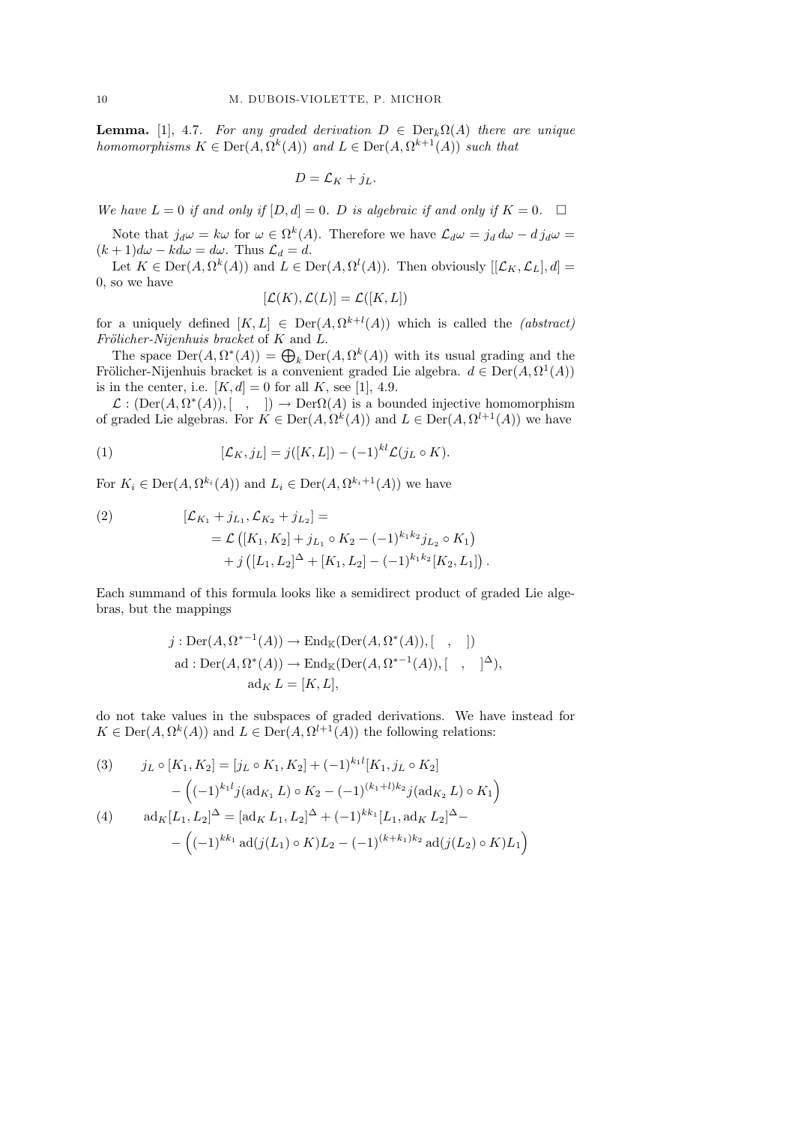**Lemma.** [1], 4.7. For any graded derivation  $D \in \text{Der}_k \Omega(A)$  there are unique homomorphisms  $K \in \text{Der}(A, \Omega^k(A))$  and  $L \in \text{Der}(A, \Omega^{k+1}(A))$  such that

$$
D = \mathcal{L}_K + j_L.
$$

We have  $L = 0$  if and only if  $[D, d] = 0$ . D is algebraic if and only if  $K = 0$ .

Note that  $j_d\omega = k\omega$  for  $\omega \in \Omega^k(A)$ . Therefore we have  $\mathcal{L}_d\omega = j_d d\omega - d j_d\omega =$  $(k+1)d\omega - kd\omega = d\omega$ . Thus  $\mathcal{L}_d = d$ .

Let  $K \in \text{Der}(A, \Omega^k(A))$  and  $L \in \text{Der}(A, \Omega^l(A))$ . Then obviously  $[[\mathcal{L}_K, \mathcal{L}_L], d] =$ 0, so we have

$$
[\mathcal{L}(K), \mathcal{L}(L)] = \mathcal{L}([K, L])
$$

for a uniquely defined  $[K, L] \in Der(A, \Omega^{k+l}(A))$  which is called the *(abstract)* Frölicher-Nijenhuis bracket of  $K$  and  $L$ .

The space  $\mathrm{Der}(A, \Omega^*(A)) = \bigoplus_k \mathrm{Der}(A, \Omega^k(A))$  with its usual grading and the Frölicher-Nijenhuis bracket is a convenient graded Lie algebra.  $d \in \text{Der}(A, \Omega^1(A))$ is in the center, i.e.  $[K, d] = 0$  for all K, see [1], 4.9.

 $\mathcal{L}: (\text{Der}(A, \Omega^*(A)), [\quad, \quad]) \to \text{Der}\Omega(A)$  is a bounded injective homomorphism of graded Lie algebras. For  $K \in \text{Der}(A, \Omega^k(A))$  and  $L \in \text{Der}(A, \Omega^{l+1}(A))$  we have

(1) 
$$
[\mathcal{L}_K, j_L] = j([K, L]) - (-1)^{kl} \mathcal{L}(j_L \circ K).
$$

For  $K_i \in \text{Der}(A, \Omega^{k_i}(A))$  and  $L_i \in \text{Der}(A, \Omega^{k_i+1}(A))$  we have

(2) 
$$
[\mathcal{L}_{K_1} + j_{L_1}, \mathcal{L}_{K_2} + j_{L_2}] =
$$

$$
= \mathcal{L} ([K_1, K_2] + j_{L_1} \circ K_2 - (-1)^{k_1 k_2} j_{L_2} \circ K_1)
$$

$$
+ j ([L_1, L_2]^{\Delta} + [K_1, L_2] - (-1)^{k_1 k_2} [K_2, L_1]).
$$

Each summand of this formula looks like a semidirect product of graded Lie algebras, but the mappings

$$
j: \text{Der}(A, \Omega^{*-1}(A)) \to \text{End}_{\mathbb{K}}(\text{Der}(A, \Omega^*(A)), [ , ])
$$
  
ad: 
$$
\text{Der}(A, \Omega^*(A)) \to \text{End}_{\mathbb{K}}(\text{Der}(A, \Omega^{*-1}(A)), [ , ]^{\Delta}),
$$
  

$$
\text{ad}_K L = [K, L],
$$

do not take values in the subspaces of graded derivations. We have instead for  $K \in \text{Der}(A, \Omega^k(A))$  and  $L \in \text{Der}(A, \Omega^{l+1}(A))$  the following relations:

(3) 
$$
j_L \circ [K_1, K_2] = [j_L \circ K_1, K_2] + (-1)^{k_1 l} [K_1, j_L \circ K_2]
$$

$$
- \left( (-1)^{k_1 l} j (\operatorname{ad}_{K_1} L) \circ K_2 - (-1)^{(k_1 + l) k_2} j (\operatorname{ad}_{K_2} L) \circ K_1 \right)
$$

$$
\operatorname{ad}_K [L_1, L_2]^{\Delta} = [\operatorname{ad}_K L_1, L_2]^{\Delta} + (-1)^{k_1 l} [L_1, \operatorname{ad}_K L_2]^{\Delta} -
$$

$$
- \left( (-1)^{k_1 l} \operatorname{ad}(j(L_1) \circ K) L_2 - (-1)^{(k_1 + l_1) k_2} \operatorname{ad}(j(L_2) \circ K) L_1 \right)
$$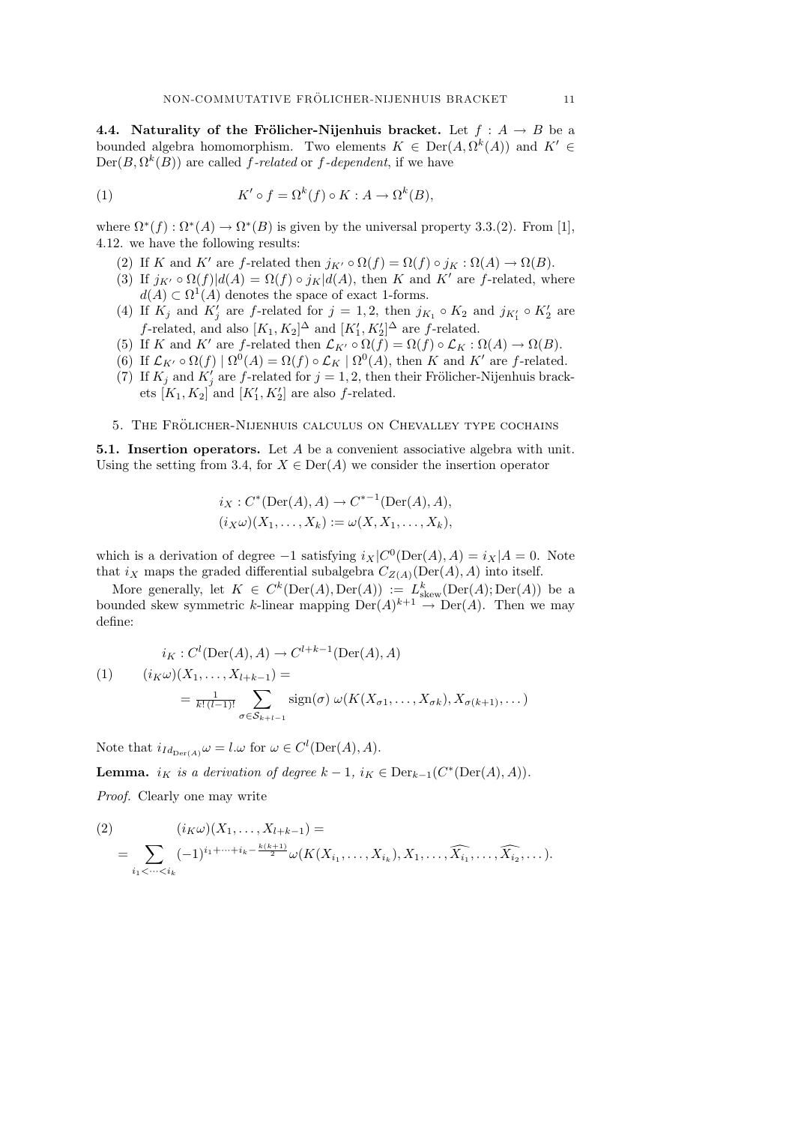4.4. Naturality of the Frölicher-Nijenhuis bracket. Let  $f : A \rightarrow B$  be a bounded algebra homomorphism. Two elements  $K \in \text{Der}(A, \Omega^k(A))$  and  $K' \in$  $Der(B, \Omega^k(B))$  are called f-related or f-dependent, if we have

(1) 
$$
K' \circ f = \Omega^k(f) \circ K : A \to \Omega^k(B),
$$

where  $\Omega^*(f) : \Omega^*(A) \to \Omega^*(B)$  is given by the universal property 3.3.(2). From [1], 4.12. we have the following results:

- (2) If K and K' are f-related then  $j_{K'} \circ \Omega(f) = \Omega(f) \circ j_K : \Omega(A) \to \Omega(B)$ .
- (3) If  $j_{K'} \circ \Omega(f)|d(A) = \Omega(f) \circ j_K|d(A)$ , then K and K' are f-related, where  $d(A) \subset \Omega^1(A)$  denotes the space of exact 1-forms.
- (4) If  $K_j$  and  $K'_j$  are f-related for  $j = 1, 2$ , then  $j_{K_1} \circ K_2$  and  $j_{K'_1} \circ K'_2$  are *f*-related, and also  $[K_1, K_2]^{\Delta}$  and  $[K'_1, K'_2]^{\Delta}$  are *f*-related.
- (5) If K and K' are f-related then  $\mathcal{L}_{K'} \circ \Omega(f) = \Omega(f) \circ \mathcal{L}_K : \Omega(A) \to \Omega(B)$ .
- (6) If  $\mathcal{L}_{K'} \circ \Omega(f) | \Omega^0(A) = \Omega(f) \circ \mathcal{L}_K | \Omega^0(A)$ , then K and K' are f-related.
- (7) If  $K_j$  and  $K'_j$  are f-related for  $j = 1, 2$ , then their Frölicher-Nijenhuis brackets  $[K_1, K_2]$  and  $[K'_1, K'_2]$  are also f-related.
- 5. The Frolicher-Nijenhuis calculus on Chevalley type cochains ¨

5.1. Insertion operators. Let A be a convenient associative algebra with unit. Using the setting from 3.4, for  $X \in \text{Der}(A)$  we consider the insertion operator

$$
i_X : C^*(Der(A), A) \to C^{*-1}(Der(A), A),
$$
  
\n $(i_X \omega)(X_1, ..., X_k) := \omega(X, X_1, ..., X_k),$ 

which is a derivation of degree  $-1$  satisfying  $i_X|C^0(\text{Der}(A), A) = i_X|A = 0$ . Note that  $i_X$  maps the graded differential subalgebra  $C_{Z(A)}(\text{Der}(A), A)$  into itself.

More generally, let  $K \in C^k(\text{Der}(A), \text{Der}(A)) := L^k_{\text{skew}}(\text{Der}(A); \text{Der}(A))$  be a bounded skew symmetric k-linear mapping  $Der(A)^{k+1} \to Der(A)$ . Then we may define:

$$
i_K: C^l(\text{Der}(A), A) \to C^{l+k-1}(\text{Der}(A), A)
$$
  
(1) 
$$
(i_K \omega)(X_1, \dots, X_{l+k-1}) =
$$

$$
= \frac{1}{k!(l-1)!} \sum_{\sigma \in S_{k+l-1}} \text{sign}(\sigma) \omega(K(X_{\sigma 1}, \dots, X_{\sigma k}), X_{\sigma(k+1)}, \dots)
$$

Note that  $i_{Id_{\text{Der}(A)}}\omega = l.\omega$  for  $\omega \in C^l(\text{Der}(A), A)$ . **Lemma.** i<sub>K</sub> is a derivation of degree  $k-1$ ,  $i_K \in Der_{k-1}(C^*(Der(A), A)).$ Proof. Clearly one may write

$$
(2) \qquad (i_{K}\omega)(X_{1},...,X_{l+k-1}) =
$$
  
= 
$$
\sum_{i_{1} < ... < i_{k}} (-1)^{i_{1}+...+i_{k}-\frac{k(k+1)}{2}} \omega(K(X_{i_{1}},...,X_{i_{k}}),X_{1},..., \widehat{X_{i_{1}}},..., \widehat{X_{i_{2}}},...).
$$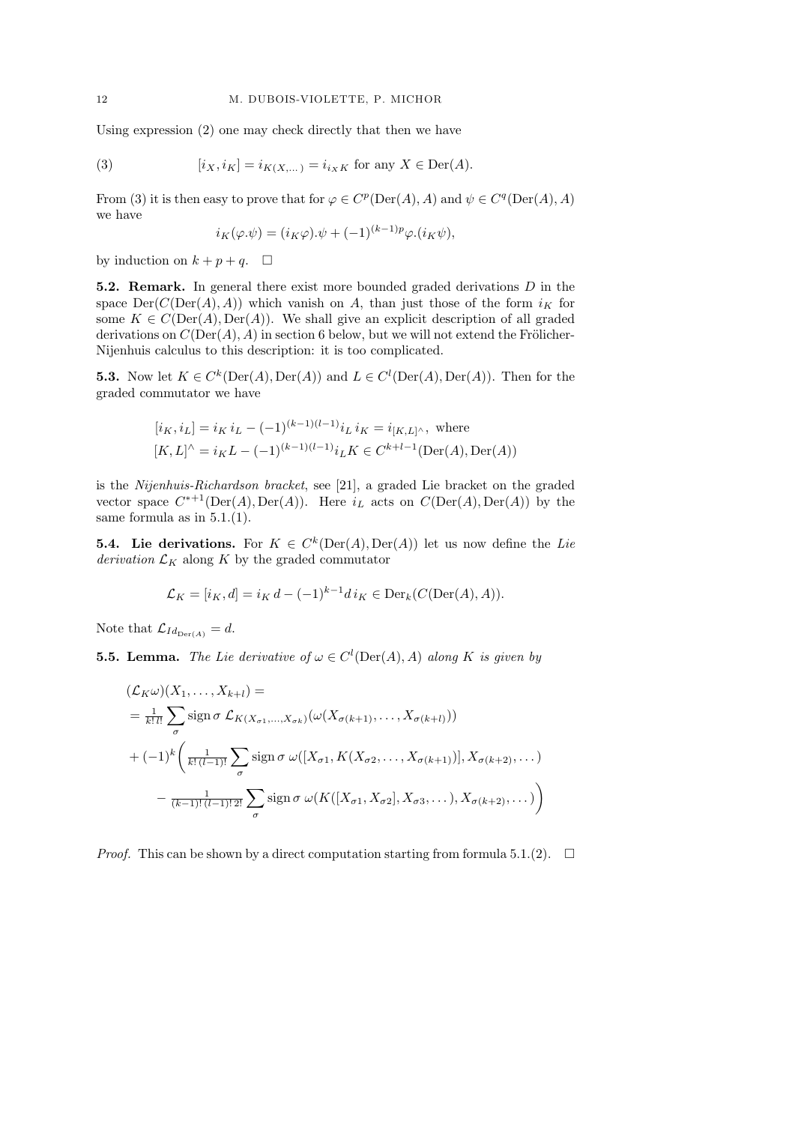Using expression (2) one may check directly that then we have

(3) 
$$
[i_X, i_K] = i_{K(X,...)} = i_{i_X K} \text{ for any } X \in \text{Der}(A).
$$

From (3) it is then easy to prove that for  $\varphi \in C^p(\mathrm{Der}(A), A)$  and  $\psi \in C^q(\mathrm{Der}(A), A)$ we have

$$
i_K(\varphi.\psi) = (i_K \varphi).\psi + (-1)^{(k-1)p} \varphi.(i_K \psi),
$$

by induction on  $k + p + q$ .  $\Box$ 

**5.2. Remark.** In general there exist more bounded graded derivations  $D$  in the space  $Der(C(Der(A), A))$  which vanish on A, than just those of the form  $i<sub>K</sub>$  for some  $K \in C(\text{Der}(A), \text{Der}(A))$ . We shall give an explicit description of all graded derivations on  $C(\text{Der}(A), A)$  in section 6 below, but we will not extend the Frölicher-Nijenhuis calculus to this description: it is too complicated.

**5.3.** Now let  $K \in C^k(\text{Der}(A), \text{Der}(A))$  and  $L \in C^l(\text{Der}(A), \text{Der}(A))$ . Then for the graded commutator we have

$$
[i_K, i_L] = i_K i_L - (-1)^{(k-1)(l-1)} i_L i_K = i_{[K,L]^\wedge}
$$
, where  

$$
[K, L]^\wedge = i_K L - (-1)^{(k-1)(l-1)} i_L K \in C^{k+l-1}(\text{Der}(A), \text{Der}(A))
$$

is the Nijenhuis-Richardson bracket, see [21], a graded Lie bracket on the graded vector space  $C^{*+1}(\text{Der}(A), \text{Der}(A))$ . Here  $i_L$  acts on  $C(\text{Der}(A), \text{Der}(A))$  by the same formula as in 5.1.(1).

**5.4.** Lie derivations. For  $K \in C^k(\text{Der}(A), \text{Der}(A))$  let us now define the Lie  $derivation$   $\mathcal{L}_{K}$  along  $K$  by the graded commutator

$$
\mathcal{L}_K = [i_K, d] = i_K d - (-1)^{k-1} d i_K \in \text{Der}_k(C(\text{Der}(A), A)).
$$

Note that  $\mathcal{L}_{Id_{\text{Der}(A)}} = d$ .

**5.5. Lemma.** The Lie derivative of  $\omega \in C^l(\text{Der}(A), A)$  along K is given by

$$
\begin{split}\n(\mathcal{L}_K \omega)(X_1, \dots, X_{k+l}) &= \\
&= \frac{1}{k!l!} \sum_{\sigma} \text{sign}\,\sigma \,\mathcal{L}_{K(X_{\sigma 1}, \dots, X_{\sigma k})}(\omega(X_{\sigma(k+1)}, \dots, X_{\sigma(k+l)})) \\
&+ (-1)^k \left( \frac{1}{k! \,(l-1)!} \sum_{\sigma} \text{sign}\,\sigma \,\omega([X_{\sigma 1}, K(X_{\sigma 2}, \dots, X_{\sigma(k+1)})], X_{\sigma(k+2)}, \dots) \\
&- \frac{1}{(k-1)! \,(l-1)! \,2!} \sum_{\sigma} \text{sign}\,\sigma \,\omega(K([X_{\sigma 1}, X_{\sigma 2}], X_{\sigma 3}, \dots), X_{\sigma(k+2)}, \dots)\right)\n\end{split}
$$

*Proof.* This can be shown by a direct computation starting from formula 5.1.(2).  $\Box$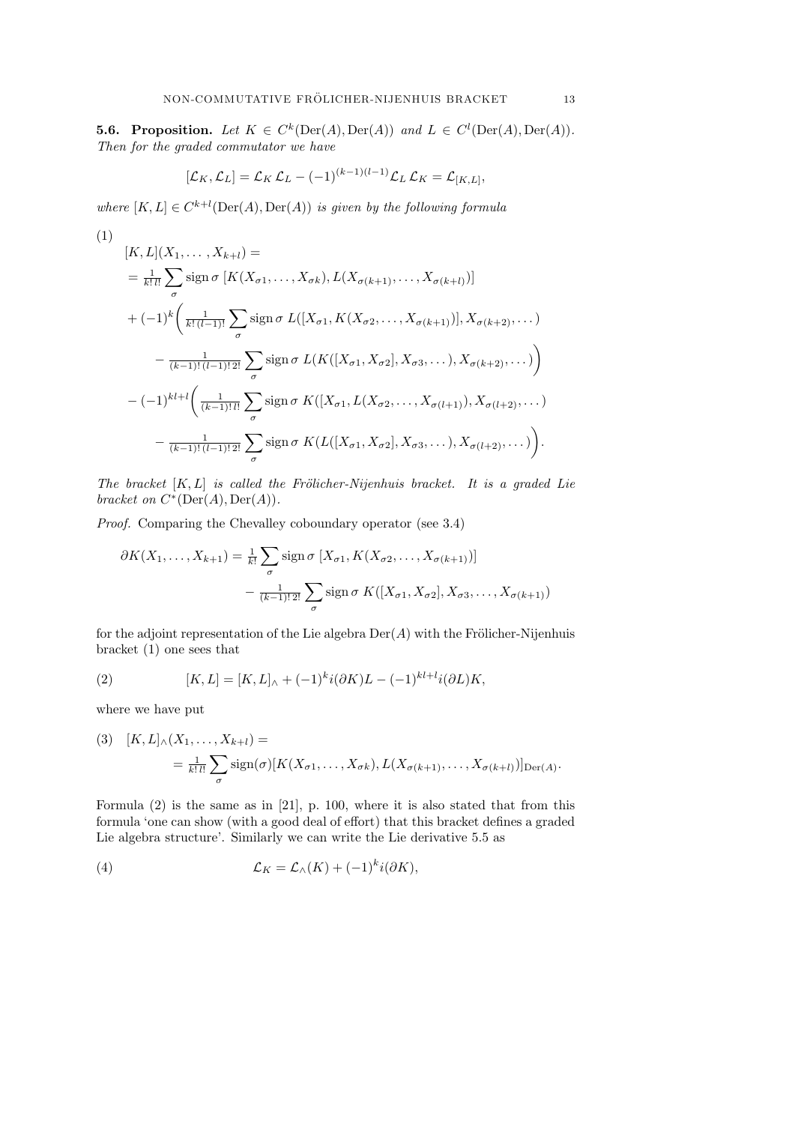**5.6. Proposition.** Let  $K \in C^k(\text{Der}(A), \text{Der}(A))$  and  $L \in C^l(\text{Der}(A), \text{Der}(A)).$ Then for the graded commutator we have

$$
[\mathcal{L}_K, \mathcal{L}_L] = \mathcal{L}_K \mathcal{L}_L - (-1)^{(k-1)(l-1)} \mathcal{L}_L \mathcal{L}_K = \mathcal{L}_{[K,L]},
$$

where  $[K, L] \in C^{k+l}(\text{Der}(A), \text{Der}(A))$  is given by the following formula

$$
\left( 1\right)
$$

$$
[K, L](X_1, ..., X_{k+l}) =
$$
\n
$$
= \frac{1}{k!l!} \sum_{\sigma} \text{sign}\,\sigma \, [K(X_{\sigma 1}, ..., X_{\sigma k}), L(X_{\sigma(k+1)}, ..., X_{\sigma(k+l)})]
$$
\n
$$
+ (-1)^k \left( \frac{1}{k!(l-1)!} \sum_{\sigma} \text{sign}\,\sigma \, L([X_{\sigma 1}, K(X_{\sigma 2}, ..., X_{\sigma(k+1)})], X_{\sigma(k+2)}, ...)
$$
\n
$$
- \frac{1}{(k-1)!(l-1)!2!} \sum_{\sigma} \text{sign}\,\sigma \, L(K([X_{\sigma 1}, X_{\sigma 2}], X_{\sigma 3}, ...), X_{\sigma(k+2)}, ...)
$$
\n
$$
- (-1)^{kl+l} \left( \frac{1}{(k-1)!l!} \sum_{\sigma} \text{sign}\,\sigma \, K([X_{\sigma 1}, L(X_{\sigma 2}, ..., X_{\sigma(l+1)}), X_{\sigma(l+2)}, ...)
$$
\n
$$
- \frac{1}{(k-1)!(l-1)!2!} \sum_{\sigma} \text{sign}\,\sigma \, K(L([X_{\sigma 1}, X_{\sigma 2}], X_{\sigma 3}, ...), X_{\sigma(l+2)}, ...)
$$
\n
$$
\left. \right).
$$

The bracket  $[K, L]$  is called the Frölicher-Nijenhuis bracket. It is a graded Lie bracket on  $C^*(\mathrm{Der}(A), \mathrm{Der}(A)).$ 

Proof. Comparing the Chevalley coboundary operator (see 3.4)

$$
\partial K(X_1,\ldots,X_{k+1}) = \frac{1}{k!} \sum_{\sigma} \text{sign}\,\sigma\, [X_{\sigma 1}, K(X_{\sigma 2},\ldots,X_{\sigma(k+1)})]
$$

$$
-\frac{1}{(k-1)! \, 2!} \sum_{\sigma} \text{sign}\,\sigma\, K([X_{\sigma 1}, X_{\sigma 2}], X_{\sigma 3},\ldots,X_{\sigma(k+1)})
$$

for the adjoint representation of the Lie algebra  $Der(A)$  with the Frölicher-Nijenhuis bracket (1) one sees that

(2) 
$$
[K, L] = [K, L]_{\wedge} + (-1)^{k} i(\partial K) L - (-1)^{k l + l} i(\partial L) K,
$$

where we have put

(3) 
$$
[K, L]_{\wedge}(X_1, \dots, X_{k+l}) =
$$
  
= 
$$
\frac{1}{k! \, l!} \sum_{\sigma} sign(\sigma) [K(X_{\sigma 1}, \dots, X_{\sigma k}), L(X_{\sigma(k+1)}, \dots, X_{\sigma(k+l)})]_{\text{Der}(A)}.
$$

Formula (2) is the same as in [21], p. 100, where it is also stated that from this formula 'one can show (with a good deal of effort) that this bracket defines a graded Lie algebra structure'. Similarly we can write the Lie derivative 5.5 as

(4) 
$$
\mathcal{L}_K = \mathcal{L}_\wedge(K) + (-1)^k i(\partial K),
$$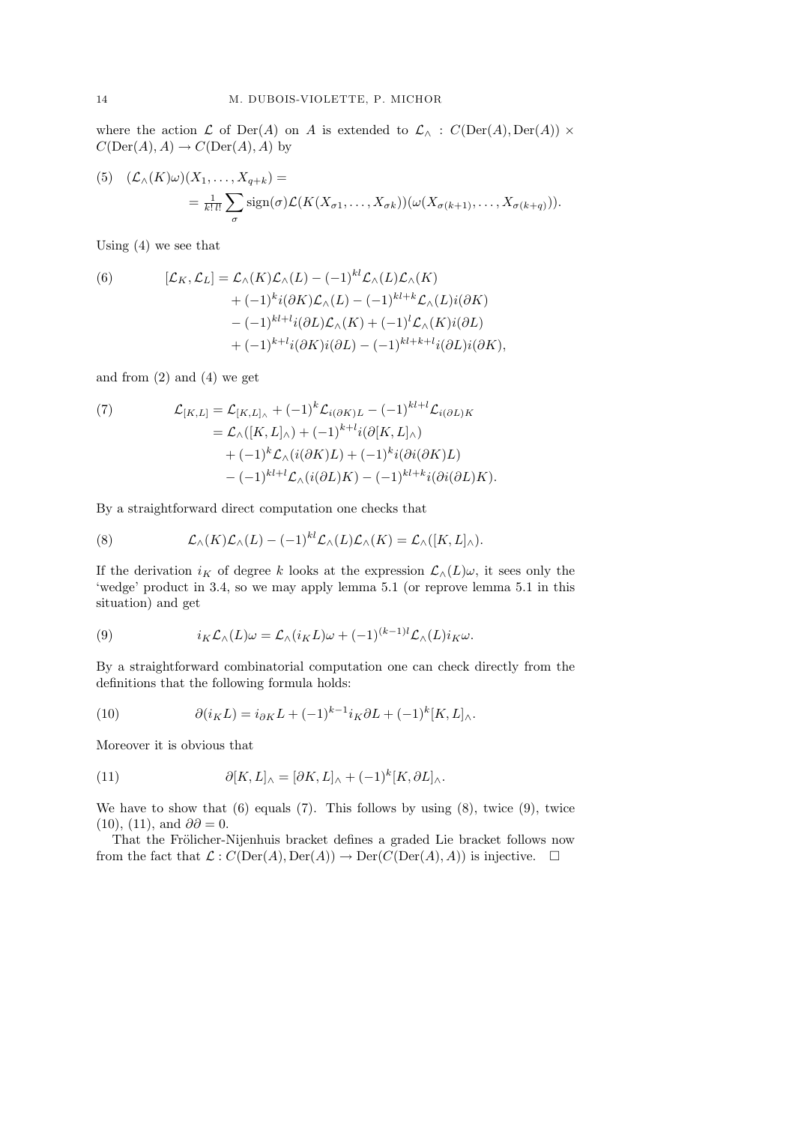where the action  $\mathcal L$  of Der(A) on A is extended to  $\mathcal L_{\wedge}$  :  $C(\mathrm{Der}(A), \mathrm{Der}(A)) \times$  $C(\text{Der}(A), A) \to C(\text{Der}(A), A)$  by

(5) 
$$
(\mathcal{L}_{\land}(K)\omega)(X_1,\ldots,X_{q+k}) =
$$
  
=  $\frac{1}{k!l!}\sum_{\sigma}\text{sign}(\sigma)\mathcal{L}(K(X_{\sigma 1},\ldots,X_{\sigma k}))(\omega(X_{\sigma(k+1)},\ldots,X_{\sigma(k+q)})).$ 

Using (4) we see that

(6) 
$$
[\mathcal{L}_K, \mathcal{L}_L] = \mathcal{L}_{\wedge}(K)\mathcal{L}_{\wedge}(L) - (-1)^{kl}\mathcal{L}_{\wedge}(L)\mathcal{L}_{\wedge}(K) + (-1)^{k}i(\partial K)\mathcal{L}_{\wedge}(L) - (-1)^{kl+k}\mathcal{L}_{\wedge}(L)i(\partial K) - (-1)^{kl+l}i(\partial L)\mathcal{L}_{\wedge}(K) + (-1)^{l}\mathcal{L}_{\wedge}(K)i(\partial L) + (-1)^{k+l}i(\partial K)i(\partial L) - (-1)^{kl+k+l}i(\partial L)i(\partial K),
$$

and from  $(2)$  and  $(4)$  we get

(7) 
$$
\mathcal{L}_{[K,L]} = \mathcal{L}_{[K,L]_{\wedge}} + (-1)^k \mathcal{L}_{i(\partial K)L} - (-1)^{k+l} \mathcal{L}_{i(\partial L)K}
$$

$$
= \mathcal{L}_{\wedge}([K,L]_{\wedge}) + (-1)^{k+l} i(\partial [K,L]_{\wedge})
$$

$$
+ (-1)^k \mathcal{L}_{\wedge}(i(\partial K)L) + (-1)^k i(\partial i(\partial K)L)
$$

$$
- (-1)^{k+l} \mathcal{L}_{\wedge}(i(\partial L)K) - (-1)^{kl+k} i(\partial i(\partial L)K).
$$

By a straightforward direct computation one checks that

(8) 
$$
\mathcal{L}_{\wedge}(K)\mathcal{L}_{\wedge}(L) - (-1)^{kl}\mathcal{L}_{\wedge}(L)\mathcal{L}_{\wedge}(K) = \mathcal{L}_{\wedge}([K, L]_{\wedge}).
$$

If the derivation  $i_K$  of degree k looks at the expression  $\mathcal{L}_{\wedge}(L)\omega$ , it sees only the 'wedge' product in 3.4, so we may apply lemma 5.1 (or reprove lemma 5.1 in this situation) and get

(9) 
$$
i_K \mathcal{L}_{\wedge}(L) \omega = \mathcal{L}_{\wedge}(i_K L) \omega + (-1)^{(k-1)l} \mathcal{L}_{\wedge}(L) i_K \omega.
$$

By a straightforward combinatorial computation one can check directly from the definitions that the following formula holds:

(10) 
$$
\partial(i_K L) = i_{\partial K} L + (-1)^{k-1} i_K \partial L + (-1)^k [K, L]_\wedge.
$$

Moreover it is obvious that

(11) 
$$
\partial [K, L]_{\wedge} = [\partial K, L]_{\wedge} + (-1)^k [K, \partial L]_{\wedge}.
$$

We have to show that  $(6)$  equals  $(7)$ . This follows by using  $(8)$ , twice  $(9)$ , twice (10), (11), and  $\partial \partial = 0$ .

That the Frölicher-Nijenhuis bracket defines a graded Lie bracket follows now from the fact that  $\mathcal{L}: C(\mathrm{Der}(A), \mathrm{Der}(A)) \to \mathrm{Der}(C(\mathrm{Der}(A), A))$  is injective.  $\Box$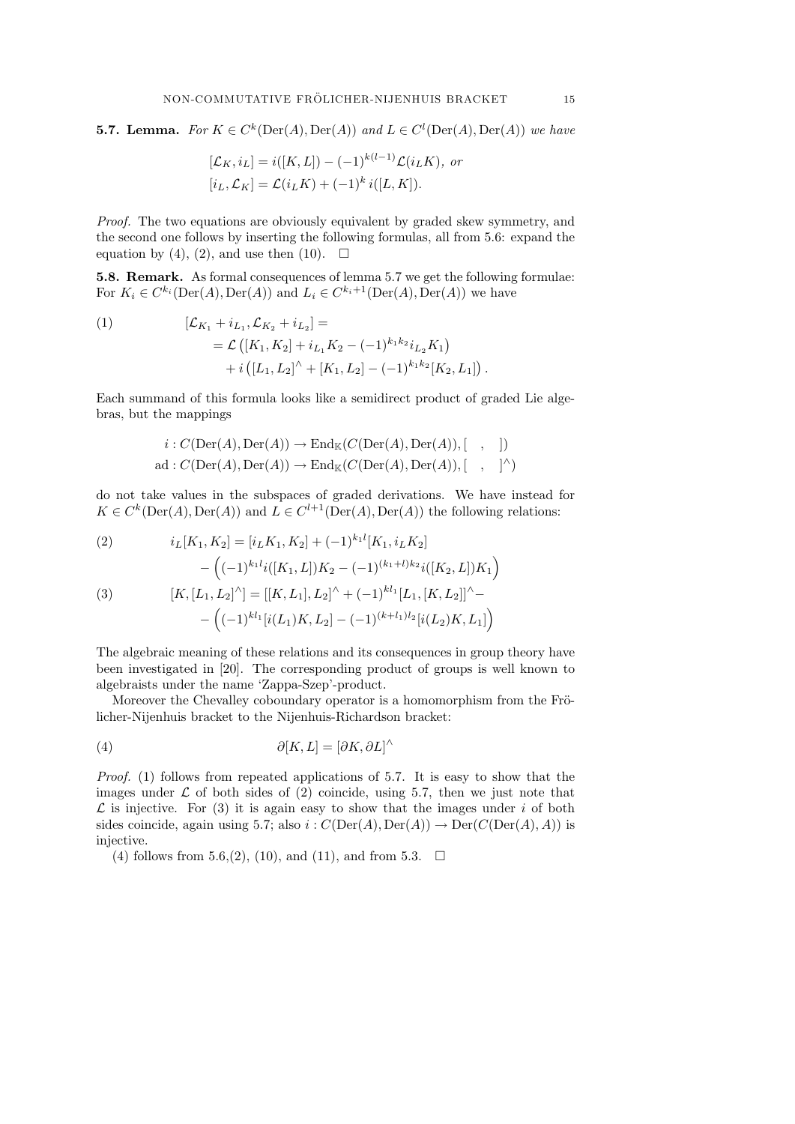**5.7. Lemma.** For  $K \in C^k(\text{Der}(A), \text{Der}(A))$  and  $L \in C^l(\text{Der}(A), \text{Der}(A))$  we have

$$
[\mathcal{L}_K, i_L] = i([K, L]) - (-1)^{k(l-1)} \mathcal{L}(i_L K), \text{ or}
$$
  

$$
[i_L, \mathcal{L}_K] = \mathcal{L}(i_L K) + (-1)^k i([L, K]).
$$

Proof. The two equations are obviously equivalent by graded skew symmetry, and the second one follows by inserting the following formulas, all from 5.6: expand the equation by (4), (2), and use then (10).  $\Box$ 

5.8. Remark. As formal consequences of lemma 5.7 we get the following formulae: For  $K_i \in C^{k_i}(\text{Der}(A), \text{Der}(A))$  and  $L_i \in C^{k_i+1}(\text{Der}(A), \text{Der}(A))$  we have

(1) 
$$
[\mathcal{L}_{K_1} + i_{L_1}, \mathcal{L}_{K_2} + i_{L_2}] =
$$
  
=  $\mathcal{L} ([K_1, K_2] + i_{L_1} K_2 - (-1)^{k_1 k_2} i_{L_2} K_1)$   
+  $i ([L_1, L_2]^{\wedge} + [K_1, L_2] - (-1)^{k_1 k_2} [K_2, L_1]).$ 

Each summand of this formula looks like a semidirect product of graded Lie algebras, but the mappings

$$
i: C(\mathrm{Der}(A), \mathrm{Der}(A)) \to \mathrm{End}_{\mathbb{K}}(C(\mathrm{Der}(A), \mathrm{Der}(A)), [ , ])
$$
  
ad: 
$$
C(\mathrm{Der}(A), \mathrm{Der}(A)) \to \mathrm{End}_{\mathbb{K}}(C(\mathrm{Der}(A), \mathrm{Der}(A)), [ , ]^{\wedge})
$$

do not take values in the subspaces of graded derivations. We have instead for  $K \in C^{k}(\text{Der}(A), \text{Der}(A))$  and  $L \in C^{l+1}(\text{Der}(A), \text{Der}(A))$  the following relations:

(2) 
$$
i_L[K_1, K_2] = [i_L K_1, K_2] + (-1)^{k_1 l} [K_1, i_L K_2] - \left( (-1)^{k_1 l} i ([K_1, L]) K_2 - (-1)^{(k_1 + l) k_2} i ([K_2, L]) K_1 \right)
$$
  
(3) 
$$
[K, [L_1, L_2]^\wedge] = [[K, L_1], L_2]^\wedge + (-1)^{k l_1} [L_1, [K, L_2]]^\wedge - \left( (-1)^{k l_1} [i(L_1) K, L_2] - (-1)^{(k + l_1) l_2} [i(L_2) K, L_1] \right)
$$

The algebraic meaning of these relations and its consequences in group theory have been investigated in [20]. The corresponding product of groups is well known to algebraists under the name 'Zappa-Szep'-product.

Moreover the Chevalley coboundary operator is a homomorphism from the Frölicher-Nijenhuis bracket to the Nijenhuis-Richardson bracket:

(4) 
$$
\partial[K,L] = [\partial K, \partial L]^\wedge
$$

Proof. (1) follows from repeated applications of 5.7. It is easy to show that the images under  $\mathcal L$  of both sides of (2) coincide, using 5.7, then we just note that  $\mathcal L$  is injective. For (3) it is again easy to show that the images under i of both sides coincide, again using 5.7; also  $i : C(\mathrm{Der}(A), \mathrm{Der}(A)) \to \mathrm{Der}(C(\mathrm{Der}(A), A))$  is injective.

(4) follows from 5.6,(2), (10), and (11), and from 5.3.  $\Box$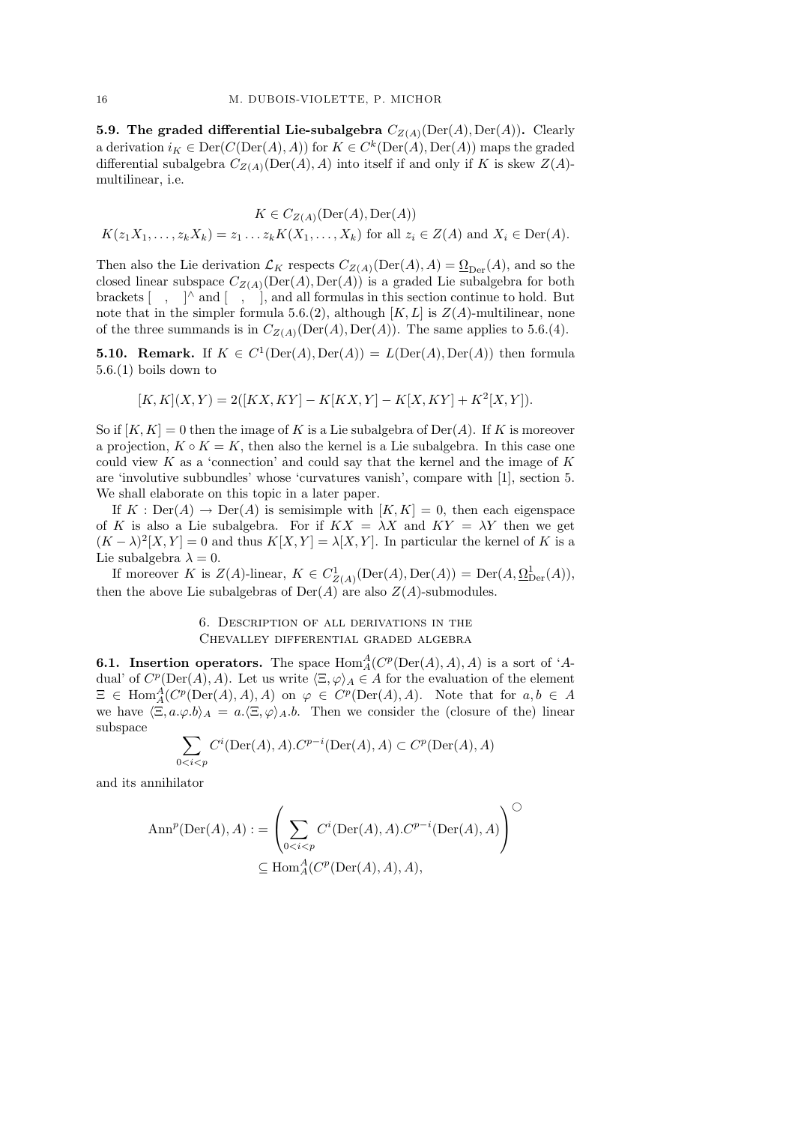**5.9. The graded differential Lie-subalgebra**  $C_{Z(A)}(\text{Der}(A), \text{Der}(A))$ . Clearly a derivation  $i_K \in \text{Der}(C(\text{Der}(A), A))$  for  $K \in C^k(\text{Der}(A), \text{Der}(A))$  maps the graded differential subalgebra  $C_{Z(A)}(\text{Der}(A), A)$  into itself if and only if K is skew  $Z(A)$ multilinear, i.e.

$$
K \in C_{Z(A)}(\text{Der}(A), \text{Der}(A))
$$
  

$$
K(z_1X_1, \dots, z_kX_k) = z_1 \dots z_k K(X_1, \dots, X_k) \text{ for all } z_i \in Z(A) \text{ and } X_i \in \text{Der}(A).
$$

Then also the Lie derivation  $\mathcal{L}_K$  respects  $C_{Z(A)}(\text{Der}(A), A) = \underline{\Omega}_{\text{Der}}(A)$ , and so the closed linear subspace  $C_{Z(A)}(\mathrm{Der}(A), \mathrm{Der}(A))$  is a graded Lie subalgebra for both brackets  $\begin{bmatrix} , & \end{bmatrix}$  and  $\begin{bmatrix} , & \end{bmatrix}$ , and all formulas in this section continue to hold. But note that in the simpler formula 5.6.(2), although  $[K, L]$  is  $Z(A)$ -multilinear, none of the three summands is in  $C_{Z(A)}(\text{Der}(A), \text{Der}(A))$ . The same applies to 5.6.(4).

**5.10. Remark.** If  $K \in C^1(\text{Der}(A), \text{Der}(A)) = L(\text{Der}(A), \text{Der}(A))$  then formula 5.6.(1) boils down to

$$
[K, K](X, Y) = 2([KX, KY] - K[KX, Y] - K[X, KY] + K^{2}[X, Y]).
$$

So if  $[K, K] = 0$  then the image of K is a Lie subalgebra of  $Der(A)$ . If K is moreover a projection,  $K \circ K = K$ , then also the kernel is a Lie subalgebra. In this case one could view  $K$  as a 'connection' and could say that the kernel and the image of  $K$ are 'involutive subbundles' whose 'curvatures vanish', compare with [1], section 5. We shall elaborate on this topic in a later paper.

If  $K : Der(A) \to Der(A)$  is semisimple with  $[K, K] = 0$ , then each eigenspace of K is also a Lie subalgebra. For if  $K X = \lambda X$  and  $K Y = \lambda Y$  then we get  $(K - \lambda)^2 [X, Y] = 0$  and thus  $K[X, Y] = \lambda [X, Y]$ . In particular the kernel of K is a Lie subalgebra  $\lambda = 0$ .

If moreover K is  $Z(A)$ -linear,  $K \in C^1_{Z(A)}(\text{Der}(A), \text{Der}(A)) = \text{Der}(A, \Omega^1_{\text{Der}}(A)),$ then the above Lie subalgebras of  $Der(A)$  are also  $Z(A)$ -submodules.

## 6. Description of all derivations in the Chevalley differential graded algebra

**6.1.** Insertion operators. The space  $Hom_A^A(C^p(Der(A), A), A)$  is a sort of 'Adual' of  $C^p(\text{Der}(A), A)$ . Let us write  $\langle \Xi, \varphi \rangle_A \in A$  for the evaluation of the element  $\Xi \in \text{Hom}_{A}^{A}(C^{p}(\text{Der}(A), A), A)$  on  $\varphi \in C^{p}(\text{Der}(A), A)$ . Note that for  $a, b \in A$ we have  $\langle \Xi, a.\varphi.b \rangle_A = a.\langle \Xi, \varphi \rangle_A.b.$  Then we consider the (closure of the) linear subspace

$$
\sum_{0
$$

and its annihilator

$$
\operatorname{Ann}^p(\operatorname{Der}(A), A) := \left( \sum_{0 < i < p} C^i(\operatorname{Der}(A), A) \cdot C^{p-i}(\operatorname{Der}(A), A) \right)^\bigcirc
$$
\n
$$
\subseteq \operatorname{Hom}_A^A(C^p(\operatorname{Der}(A), A), A),
$$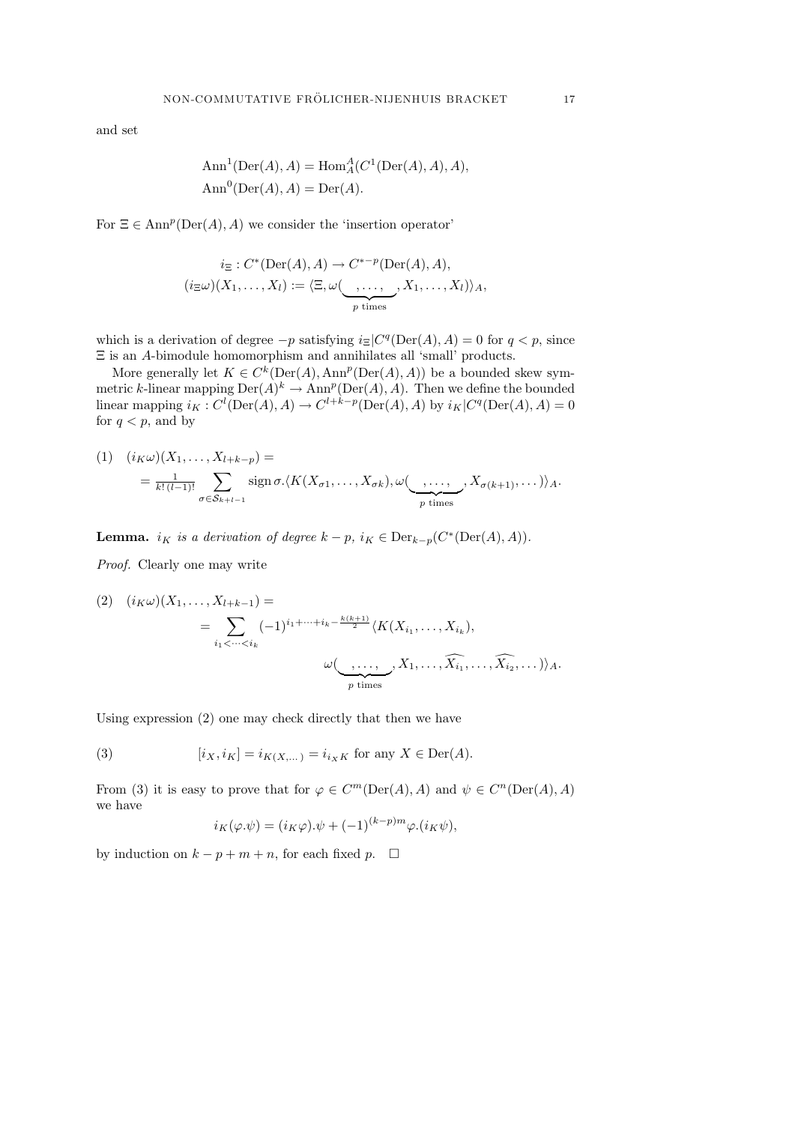and set

$$
Ann1(Der(A), A) = HomAA(C1(Der(A), A), A),Ann0(Der(A), A) = Der(A).
$$

For  $\Xi \in \text{Ann}^p(\text{Der}(A), A)$  we consider the 'insertion operator'

$$
i_{\Xi}: C^*(\mathrm{Der}(A), A) \to C^{*-p}(\mathrm{Der}(A), A),
$$
  
\n
$$
(i_{\Xi}\omega)(X_1, \dots, X_l) := \langle \Xi, \omega(\underbrace{\dots, \dots,}_{p \text{ times}}, X_1, \dots, X_l) \rangle_A,
$$

which is a derivation of degree  $-p$  satisfying  $i \in [C^q(\text{Der}(A), A) = 0$  for  $q < p$ , since  $\Xi$  is an  $A\operatorname{\-bimodule}$  homomorphism and annihilates all 'small' products.

More generally let  $K \in C^k(\text{Der}(A), \text{Ann}^p(\text{Der}(A), A))$  be a bounded skew symmetric k-linear mapping  $\mathrm{Der}(A)^k \to \mathrm{Ann}^p(\mathrm{Der}(A), A)$ . Then we define the bounded linear mapping  $i_K : C^l(\text{Der}(A), A) \to C^{l+k-p}(\text{Der}(A), A)$  by  $i_K | C^q(\text{Der}(A), A) = 0$ for  $q < p$ , and by

$$
(1) \quad (i_{K}\omega)(X_{1},\ldots,X_{l+k-p}) =
$$
  
=  $\frac{1}{k!(l-1)!} \sum_{\sigma \in S_{k+l-1}}$ sign  $\sigma$   $\langle K(X_{\sigma 1},\ldots,X_{\sigma k}), \omega(\underset{p \text{ times}}{\underbrace{\ldots,\ldots}},X_{\sigma(k+1)},\ldots) \rangle_{A}.$ 

**Lemma.** i<sub>K</sub> is a derivation of degree  $k - p$ , i<sub>K</sub>  $\in$   $Der_{k-p}(C^*(Der(A), A))$ .

Proof. Clearly one may write

$$
(2) \quad (i_{K}\omega)(X_{1},\ldots,X_{l+k-1}) =
$$
\n
$$
= \sum_{i_{1} < \cdots < i_{k}} (-1)^{i_{1}+\cdots+i_{k}-\frac{k(k+1)}{2}} \langle K(X_{i_{1}},\ldots,X_{i_{k}}),
$$
\n
$$
\omega(\underbrace{\ldots,\ldots,\ldots}_{p \text{ times}},X_{1},\ldots,\widehat{X_{i_{1}}},\ldots,\widehat{X_{i_{2}}},\ldots)\rangle_{A}.
$$

Using expression (2) one may check directly that then we have

(3) 
$$
[i_X, i_K] = i_{K(X,...)} = i_{i_X K} \text{ for any } X \in \text{Der}(A).
$$

From (3) it is easy to prove that for  $\varphi \in C^m(\text{Der}(A), A)$  and  $\psi \in C^n(\text{Der}(A), A)$ we have

$$
i_K(\varphi.\psi) = (i_K \varphi).\psi + (-1)^{(k-p)m} \varphi.(i_K \psi),
$$

by induction on  $k - p + m + n$ , for each fixed p.  $\square$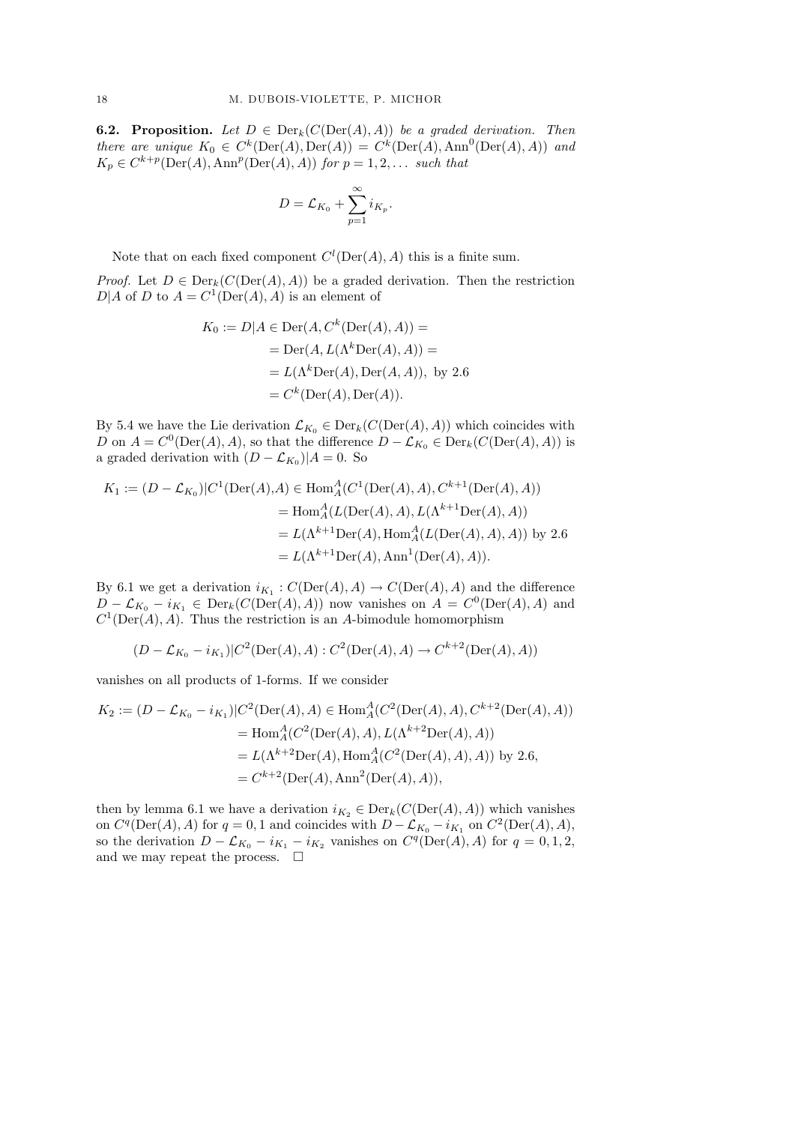**6.2. Proposition.** Let  $D \in \text{Der}_k(C(\text{Der}(A), A))$  be a graded derivation. Then there are unique  $K_0 \in C^k(\text{Der}(A), \text{Der}(A)) = C^k(\text{Der}(A), \text{Ann}^0(\text{Der}(A), A))$  and  $K_p \in C^{k+p}(\text{Der}(A), \text{Ann}^p(\text{Der}(A), A))$  for  $p = 1, 2, \ldots$  such that

$$
D = \mathcal{L}_{K_0} + \sum_{p=1}^{\infty} i_{K_p}.
$$

Note that on each fixed component  $C^l(\mathrm{Der}(A), A)$  this is a finite sum.

*Proof.* Let  $D \in \text{Der}_k(C(\text{Der}(A), A))$  be a graded derivation. Then the restriction  $D|A$  of D to  $A = C^1(\text{Der}(A), A)$  is an element of

$$
K_0 := D|A \in \text{Der}(A, C^k(\text{Der}(A), A)) =
$$
  
= Der(A, L(\Lambda^k \text{Der}(A), A)) =  
= L(\Lambda^k \text{Der}(A), \text{Der}(A, A)), by 2.6  
= C^k(\text{Der}(A), \text{Der}(A)).

By 5.4 we have the Lie derivation  $\mathcal{L}_{K_0} \in \text{Der}_k(C(\text{Der}(A), A))$  which coincides with D on  $A = C^0(\text{Der}(A), A)$ , so that the difference  $D - \mathcal{L}_{K_0} \in \text{Der}_k(C(\text{Der}(A), A))$  is a graded derivation with  $(D - \mathcal{L}_{K_0})/A = 0$ . So

$$
K_1 := (D - \mathcal{L}_{K_0})|C^1(\text{Der}(A), A) \in \text{Hom}_A^A(C^1(\text{Der}(A), A), C^{k+1}(\text{Der}(A), A))
$$
  
= Hom<sub>A</sub><sup>A</sup>(L(Der(A), A), L( $\Lambda^{k+1}$ Der(A), A))  
= L( $\Lambda^{k+1}$ Der(A), Hom<sub>A</sub><sup>A</sup>(L(Der(A), A), A)) by 2.6  
= L( $\Lambda^{k+1}$ Der(A), Ann<sup>1</sup>(Der(A), A)).

By 6.1 we get a derivation  $i_{K_1}: C(\mathrm{Der}(A), A) \to C(\mathrm{Der}(A), A)$  and the difference  $D - \mathcal{L}_{K_0} - i_{K_1} \in \text{Der}_k(C(\text{Der}(A), A))$  now vanishes on  $A = C^0(\text{Der}(A), A)$  and  $C^1(\text{Der}(A), A)$ . Thus the restriction is an A-bimodule homomorphism

$$
(D - \mathcal{L}_{K_0} - i_{K_1})|C^2(\text{Der}(A), A) : C^2(\text{Der}(A), A) \to C^{k+2}(\text{Der}(A), A))
$$

vanishes on all products of 1-forms. If we consider

$$
K_2 := (D - \mathcal{L}_{K_0} - i_{K_1}) | C^2(\text{Der}(A), A) \in \text{Hom}_A^A(C^2(\text{Der}(A), A), C^{k+2}(\text{Der}(A), A))
$$
  
= Hom<sub>A</sub><sup>A</sup>(C<sup>2</sup>(\text{Der}(A), A), L(\Lambda^{k+2}\text{Der}(A), A))  
= L(\Lambda^{k+2}\text{Der}(A), \text{Hom}\_A^A(C^2(\text{Der}(A), A), A)) \text{ by } 2.6,  
= C^{k+2}(\text{Der}(A), \text{Ann}^2(\text{Der}(A), A)),

then by lemma 6.1 we have a derivation  $i_{K_2} \in \text{Der}_k(C(\text{Der}(A), A))$  which vanishes on  $C<sup>q</sup>(\text{Der}(A), A)$  for  $q = 0, 1$  and coincides with  $D - \mathcal{L}_{K_0} - i_{K_1}$  on  $C<sup>2</sup>(\text{Der}(A), A)$ , so the derivation  $D - \mathcal{L}_{K_0} - i_{K_1} - i_{K_2}$  vanishes on  $C^q(\text{Der}(A), A)$  for  $q = 0, 1, 2$ , and we may repeat the process.  $\Box$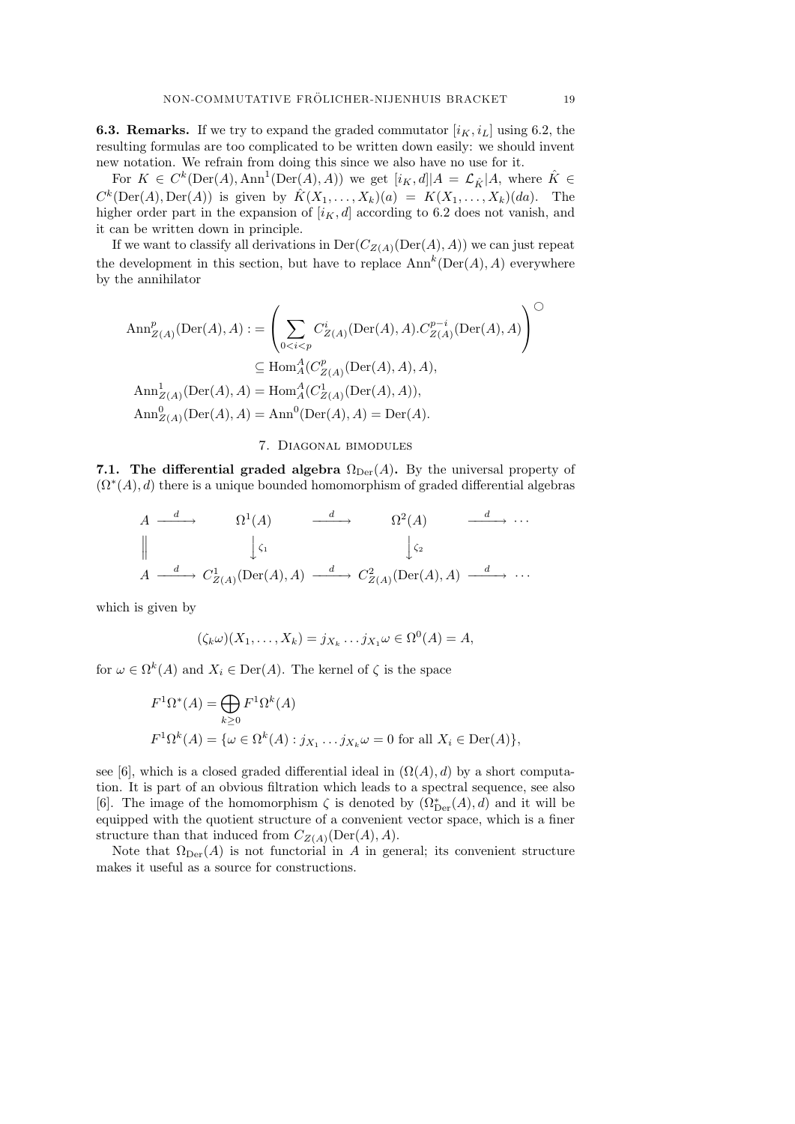**6.3. Remarks.** If we try to expand the graded commutator  $[i_K, i_L]$  using 6.2, the resulting formulas are too complicated to be written down easily: we should invent new notation. We refrain from doing this since we also have no use for it.

For  $K \in C^k(\text{Der}(A), \text{Ann}^1(\text{Der}(A), A))$  we get  $[i_K, d]|A = \mathcal{L}_{\hat{K}}|A$ , where  $\hat{K} \in$  $C^k(\text{Der}(A), \text{Der}(A))$  is given by  $\hat{K}(X_1, \ldots, X_k)(a) = K(X_1, \ldots, X_k)(da)$ . The higher order part in the expansion of  $[i_K, d]$  according to 6.2 does not vanish, and it can be written down in principle.

If we want to classify all derivations in  $Der(C_{Z(A)}(Der(A), A))$  we can just repeat the development in this section, but have to replace  $\text{Ann}^k(\text{Der}(A), A)$  everywhere by the annihilator

$$
\begin{split} \text{Ann}_{Z(A)}^{p}(\text{Der}(A), A) &:= \left(\sum_{0 < i < p} C_{Z(A)}^{i}(\text{Der}(A), A) . C_{Z(A)}^{p-i}(\text{Der}(A), A)\right)^{\bigcirc} \\ &\subseteq \text{Hom}_{A}^{A}(C_{Z(A)}^{p}(\text{Der}(A), A), A), \\ \text{Ann}_{Z(A)}^{1}(\text{Der}(A), A) &= \text{Hom}_{A}^{A}(C_{Z(A)}^{1}(\text{Der}(A), A)), \\ \text{Ann}_{Z(A)}^{0}(\text{Der}(A), A) &= \text{Ann}^{0}(\text{Der}(A), A) = \text{Der}(A). \end{split}
$$

#### 7. Diagonal bimodules

7.1. The differential graded algebra  $\Omega_{\text{Der}}(A)$ . By the universal property of  $(\Omega^*(A), d)$  there is a unique bounded homomorphism of graded differential algebras

$$
A \xrightarrow{d} \Omega^{1}(A) \xrightarrow{d} \Omega^{2}(A) \xrightarrow{d} \cdots
$$
  

$$
\parallel \qquad \qquad \downarrow \zeta_{1} \qquad \qquad \downarrow \zeta_{2}
$$
  

$$
A \xrightarrow{d} C_{Z(A)}^{1}(\text{Der}(A), A) \xrightarrow{d} C_{Z(A)}^{2}(\text{Der}(A), A) \xrightarrow{d} \cdots
$$

which is given by

$$
(\zeta_k \omega)(X_1, \ldots, X_k) = j_{X_k} \ldots j_{X_1} \omega \in \Omega^0(A) = A,
$$

for  $\omega \in \Omega^k(A)$  and  $X_i \in \text{Der}(A)$ . The kernel of  $\zeta$  is the space

$$
F^{1}\Omega^{*}(A) = \bigoplus_{k \geq 0} F^{1}\Omega^{k}(A)
$$
  

$$
F^{1}\Omega^{k}(A) = \{ \omega \in \Omega^{k}(A) : j_{X_{1}} \dots j_{X_{k}}\omega = 0 \text{ for all } X_{i} \in \text{Der}(A) \},
$$

see [6], which is a closed graded differential ideal in  $(\Omega(A), d)$  by a short computation. It is part of an obvious filtration which leads to a spectral sequence, see also [6]. The image of the homomorphism  $\zeta$  is denoted by  $(\Omega_{\mathrm{Der}}^*(A), d)$  and it will be equipped with the quotient structure of a convenient vector space, which is a finer structure than that induced from  $C_{Z(A)}(\text{Der}(A), A)$ .

Note that  $\Omega_{\text{Der}}(A)$  is not functorial in A in general; its convenient structure makes it useful as a source for constructions.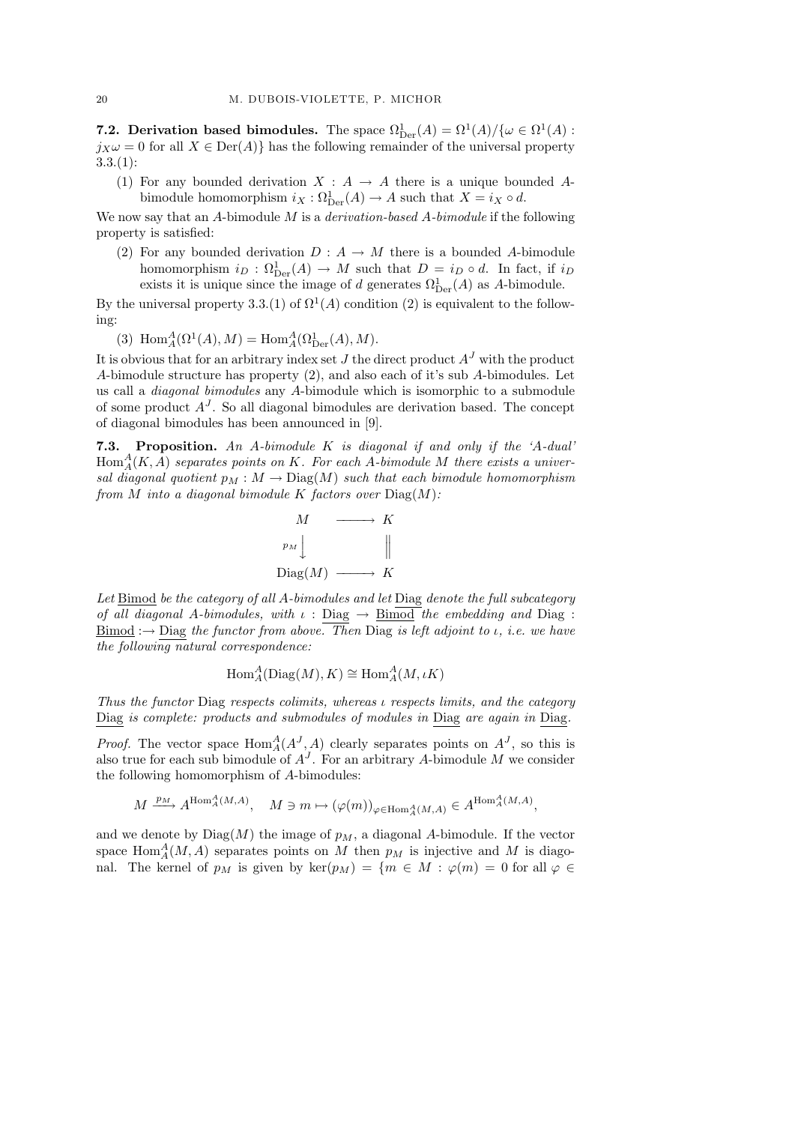**7.2. Derivation based bimodules.** The space  $\Omega_{\text{Der}}^1(A) = \Omega^1(A)/\{\omega \in \Omega^1(A) :$  $j_X\omega = 0$  for all  $X \in \text{Der}(A)$  has the following remainder of the universal property  $3.3(1)$ :

(1) For any bounded derivation  $X : A \rightarrow A$  there is a unique bounded Abimodule homomorphism  $i_X : \Omega^1_{\text{Der}}(A) \to A$  such that  $X = i_X \circ d$ .

We now say that an A-bimodule M is a *derivation-based A-bimodule* if the following property is satisfied:

(2) For any bounded derivation  $D : A \to M$  there is a bounded A-bimodule homomorphism  $i_D : \Omega^1_{\text{Der}}(A) \to M$  such that  $D = i_D \circ d$ . In fact, if  $i_D$ exists it is unique since the image of d generates  $\Omega_{\mathrm{Der}}^1(A)$  as A-bimodule.

By the universal property 3.3.(1) of  $\Omega^1(A)$  condition (2) is equivalent to the following:

(3)  $\text{Hom}_A^A(\Omega^1(A), M) = \text{Hom}_A^A(\Omega^1_{\text{Der}}(A), M).$ 

It is obvious that for an arbitrary index set J the direct product  $A<sup>J</sup>$  with the product A-bimodule structure has property (2), and also each of it's sub A-bimodules. Let us call a diagonal bimodules any A-bimodule which is isomorphic to a submodule of some product  $A<sup>J</sup>$ . So all diagonal bimodules are derivation based. The concept of diagonal bimodules has been announced in [9].

7.3. Proposition. An A-bimodule K is diagonal if and only if the 'A-dual'  $\operatorname{Hom}_A^A(K,A)$  separates points on K. For each A-bimodule M there exists a universal diagonal quotient  $p_M : M \to \text{Diag}(M)$  such that each bimodule homomorphism from M into a diagonal bimodule K factors over  $Diag(M)$ :



Let Bimod be the category of all A-bimodules and let Diag denote the full subcategory of all diagonal A-bimodules, with  $\iota$  : Diag  $\rightarrow$  Bimod the embedding and Diag :  $\underline{\text{Bimod}} \rightarrow$  Diag the functor from above. Then Diag is left adjoint to  $\iota$ , i.e. we have the following natural correspondence:

$$
\text{Hom}_{A}^{A}(\text{Diag}(M), K) \cong \text{Hom}_{A}^{A}(M, \iota K)
$$

Thus the functor Diag respects colimits, whereas  $\iota$  respects limits, and the category Diag is complete: products and submodules of modules in Diag are again in Diag.

*Proof.* The vector space  $\text{Hom}_{A}^{A}(A^{J}, A)$  clearly separates points on  $A^{J}$ , so this is also true for each sub bimodule of  $A<sup>J</sup>$ . For an arbitrary A-bimodule M we consider the following homomorphism of A-bimodules:

$$
M \xrightarrow{p_M} A^{\text{Hom}_A^A(M,A)}, \quad M \ni m \mapsto (\varphi(m))_{\varphi \in \text{Hom}_A^A(M,A)} \in A^{\text{Hom}_A^A(M,A)},
$$

and we denote by  $Diag(M)$  the image of  $p_M$ , a diagonal A-bimodule. If the vector space  $\text{Hom}_{A}^{A}(M, A)$  separates points on M then  $p_M$  is injective and M is diagonal. The kernel of  $p_M$  is given by  $\ker(p_M) = \{m \in M : \varphi(m) = 0 \text{ for all } \varphi \in$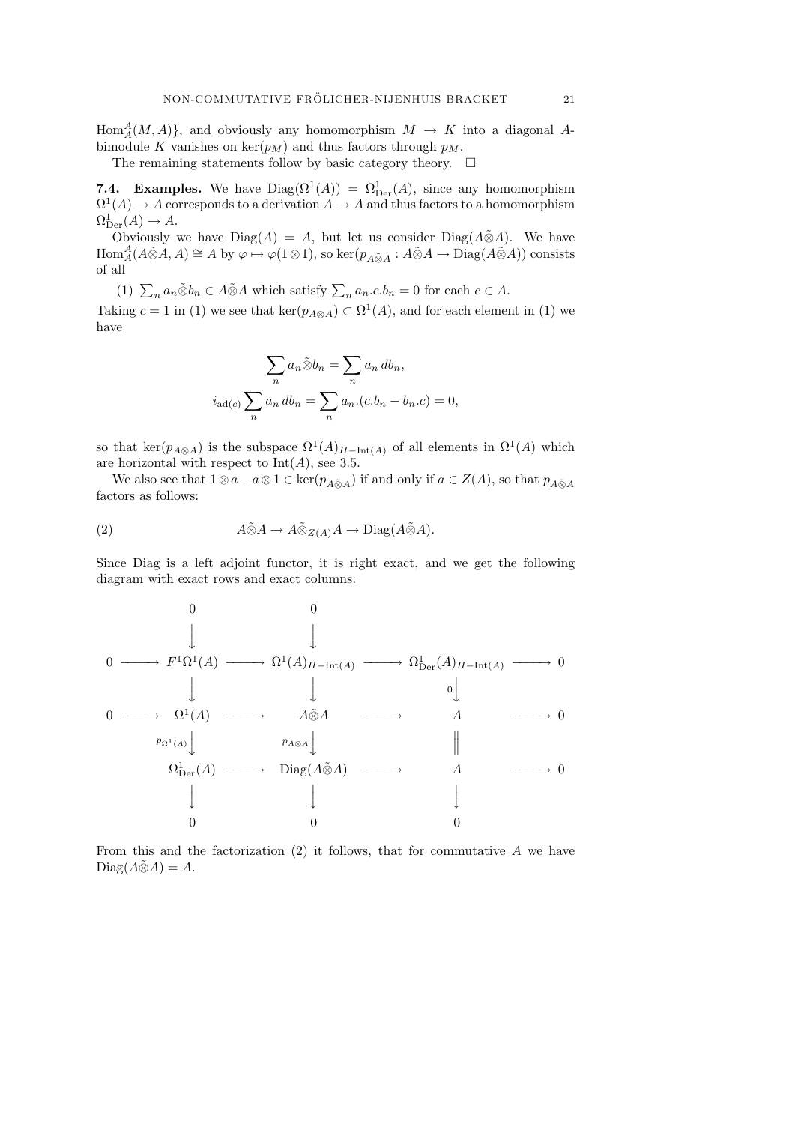$\text{Hom}_{A}^{A}(M, A)$ , and obviously any homomorphism  $M \to K$  into a diagonal Abimodule K vanishes on  $\ker(p_M)$  and thus factors through  $p_M$ .

The remaining statements follow by basic category theory.  $\quad \Box$ 

**7.4. Examples.** We have  $Diag(\Omega^1(A)) = \Omega^1_{\text{Der}}(A)$ , since any homomorphism  $\Omega^1(A) \to A$  corresponds to a derivation  $A \to A$  and thus factors to a homomorphism  $\Omega_{\mathrm{Der}}^1(A) \to A.$ 

Obviously we have Diag(A) = A, but let us consider Diag( $A\tilde{\otimes}A$ ). We have  $\text{Hom}_{A}^{A}(A\tilde{\otimes}A, A) \cong A$  by  $\varphi \mapsto \varphi(1\otimes 1)$ , so ker $(p_{A\tilde{\otimes}A}: A\tilde{\otimes}A \to \text{Diag}(A\tilde{\otimes}A))$  consists of all

(1)  $\sum_{n} a_n \tilde{\otimes} b_n \in A \tilde{\otimes} A$  which satisfy  $\sum_{n} a_n c b_n = 0$  for each  $c \in A$ .

Taking  $c = 1$  in (1) we see that ker( $p_{A \otimes A}$ )  $\subset \Omega^1(A)$ , and for each element in (1) we have

$$
\sum_{n} a_n \tilde{\otimes} b_n = \sum_{n} a_n \, db_n,
$$

$$
i_{\text{ad}(c)} \sum_{n} a_n \, db_n = \sum_{n} a_n (c.b_n - b_n.c) = 0,
$$

so that ker( $p_{A\otimes A}$ ) is the subspace  $\Omega^1(A)_{H-\text{Int}(A)}$  of all elements in  $\Omega^1(A)$  which are horizontal with respect to  $Int(A)$ , see 3.5.

We also see that  $1 \otimes a - a \otimes 1 \in \text{ker}(p_{A \tilde{\otimes} A})$  if and only if  $a \in Z(A)$ , so that  $p_{A \tilde{\otimes} A}$ factors as follows:

(2) 
$$
A \tilde{\otimes} A \to A \tilde{\otimes}_{Z(A)} A \to \text{Diag}(A \tilde{\otimes} A).
$$

Since Diag is a left adjoint functor, it is right exact, and we get the following diagram with exact rows and exact columns:



From this and the factorization  $(2)$  it follows, that for commutative A we have  $Diag(A\tilde{\otimes}A)=A.$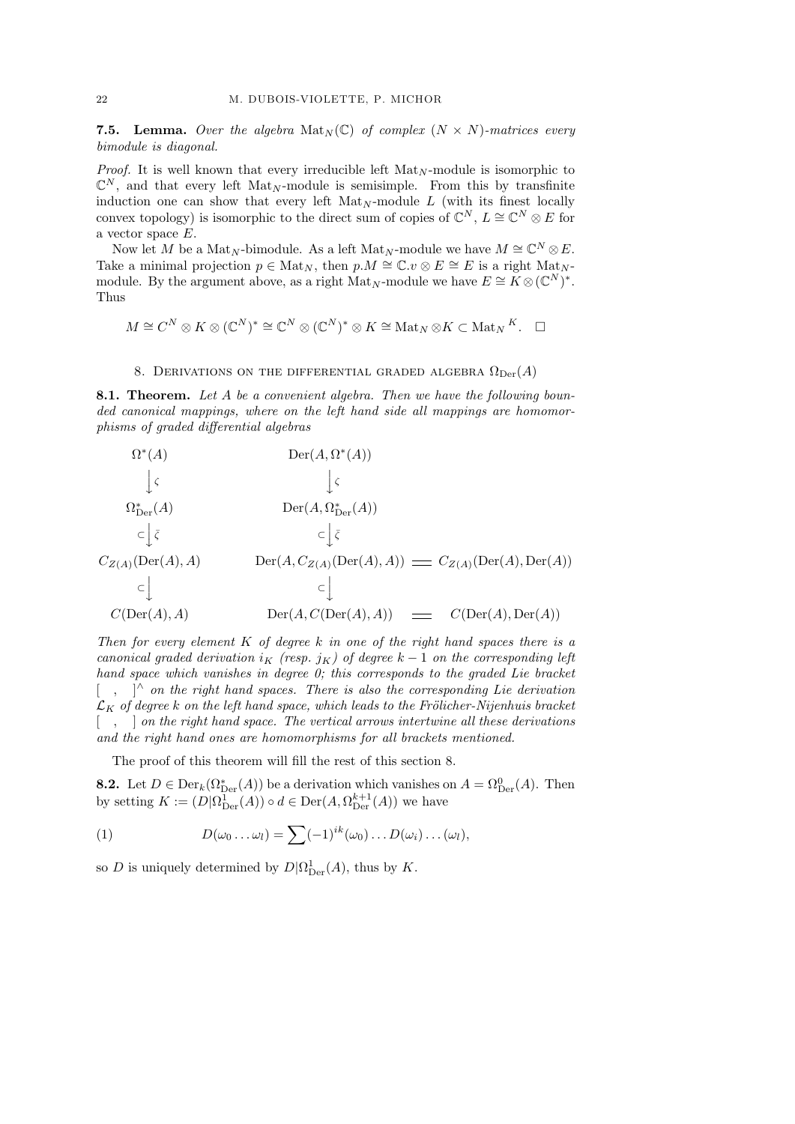**7.5. Lemma.** Over the algebra  $\text{Mat}_N(\mathbb{C})$  of complex  $(N \times N)$ -matrices every bimodule is diagonal.

*Proof.* It is well known that every irreducible left  $\text{Mat}_{N}$ -module is isomorphic to  $\mathbb{C}^N$ , and that every left Mat<sub>N</sub>-module is semisimple. From this by transfinite induction one can show that every left  $\text{Mat}_{N}$ -module L (with its finest locally convex topology) is isomorphic to the direct sum of copies of  $\mathbb{C}^N$ ,  $L \cong \mathbb{C}^N \otimes E$  for a vector space E.

Now let M be a Mat<sub>N</sub>-bimodule. As a left Mat<sub>N</sub>-module we have  $M \cong \mathbb{C}^N \otimes E$ . Take a minimal projection  $p \in Mat_N$ , then  $p.M \cong \mathbb{C}.v \otimes E \cong E$  is a right  $Mat_N$ module. By the argument above, as a right Mat<sub>N</sub>-module we have  $E \cong K \otimes (\mathbb{C}^N)^*$ . Thus

$$
M \cong C^N \otimes K \otimes (\mathbb{C}^N)^* \cong \mathbb{C}^N \otimes (\mathbb{C}^N)^* \otimes K \cong \text{Mat}_N \otimes K \subset \text{Mat}_N K. \quad \Box
$$

## 8. DERIVATIONS ON THE DIFFERENTIAL GRADED ALGEBRA  $\Omega_{\text{Der}}(A)$

8.1. Theorem. Let A be a convenient algebra. Then we have the following bounded canonical mappings, where on the left hand side all mappings are homomorphisms of graded differential algebras

$$
\Omega^*(A) \qquad \operatorname{Der}(A, \Omega^*(A))
$$
\n
$$
\downarrow \varsigma \qquad \qquad \downarrow \varsigma
$$
\n
$$
\Omega^*_{\operatorname{Der}}(A) \qquad \qquad \operatorname{Der}(A, \Omega^*_{\operatorname{Der}}(A))
$$
\n
$$
\subset \downarrow \bar{\varsigma} \qquad \qquad \subset \downarrow \bar{\varsigma}
$$
\n
$$
C_{Z(A)}(\operatorname{Der}(A), A) \qquad \qquad \operatorname{Der}(A, C_{Z(A)}(\operatorname{Der}(A), A)) \qquad \qquad \subset \downarrow
$$
\n
$$
C(\operatorname{Der}(A), A) \qquad \qquad \operatorname{Der}(A, C(\operatorname{Der}(A), A)) \qquad \qquad \subset \qquad \qquad C(\operatorname{Der}(A), \operatorname{Der}(A))
$$

Then for every element  $K$  of degree k in one of the right hand spaces there is a canonical graded derivation i<sub>K</sub> (resp. j<sub>K</sub>) of degree  $k-1$  on the corresponding left hand space which vanishes in degree 0; this corresponds to the graded Lie bracket  $\lceil$  ,  $\rceil^{\wedge}$  on the right hand spaces. There is also the corresponding Lie derivation  $\mathcal{L}_K$  of degree k on the left hand space, which leads to the Frölicher-Nijenhuis bracket  $\lceil \quad, \quad \rceil$  on the right hand space. The vertical arrows intertwine all these derivations and the right hand ones are homomorphisms for all brackets mentioned.

The proof of this theorem will fill the rest of this section 8.

**8.2.** Let  $D \in \text{Der}_k(\Omega_{\text{Der}}^*(A))$  be a derivation which vanishes on  $A = \Omega_{\text{Der}}^0(A)$ . Then by setting  $K := (D|\Omega_{\text{Der}}^1(A)) \circ d \in \text{Der}(A, \Omega_{\text{Der}}^{k+1}(A))$  we have

(1) 
$$
D(\omega_0 \dots \omega_l) = \sum (-1)^{ik} (\omega_0) \dots D(\omega_i) \dots (\omega_l),
$$

so D is uniquely determined by  $D\vert \Omega_{\mathrm{Der}}^1(A)$ , thus by K.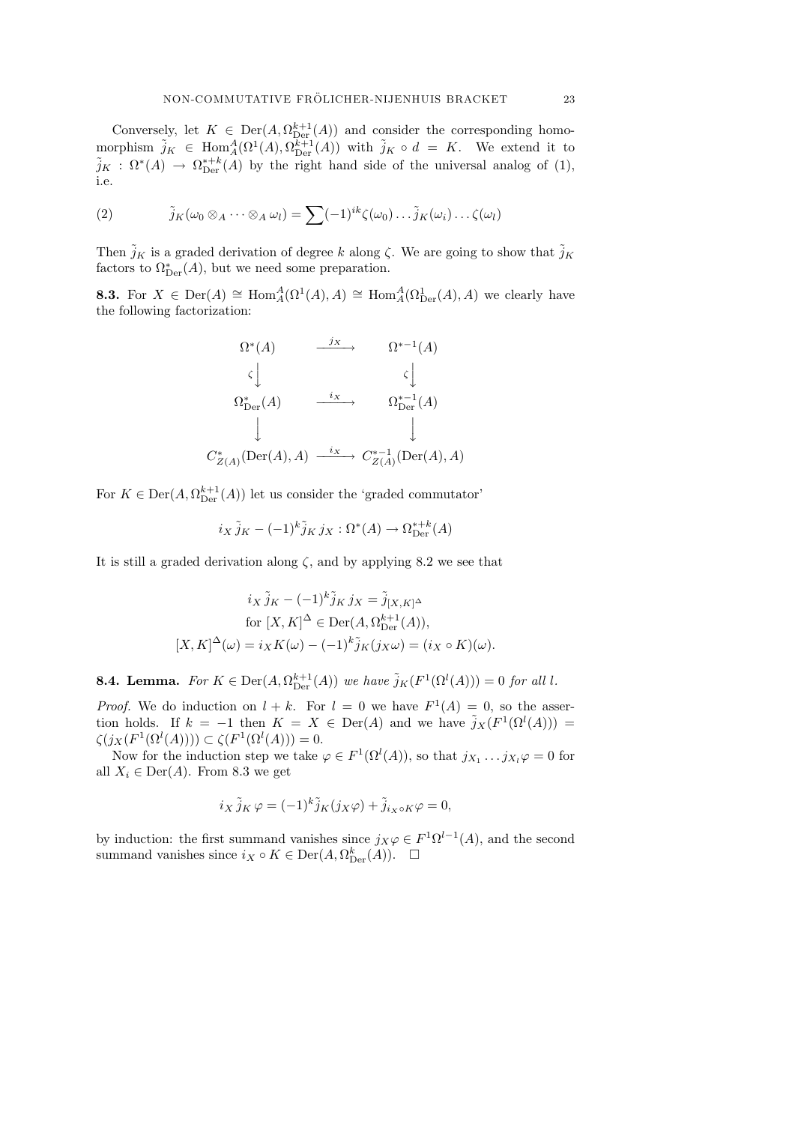Conversely, let  $K \in \text{Der}(A, \Omega_{\text{Der}}^{k+1}(A))$  and consider the corresponding homomorphism  $\tilde{j}_K \in \text{Hom}_A^A(\Omega^1(A), \Omega_{\text{Der}}^{k+1}(A))$  with  $\tilde{j}_K \circ d = K$ . We extend it to  $\tilde{j}_K$ :  $\Omega^*(A) \to \Omega^{*+k}_{\text{Der}}(A)$  by the right hand side of the universal analog of (1), i.e.

(2) 
$$
\tilde{j}_K(\omega_0 \otimes_A \cdots \otimes_A \omega_l) = \sum (-1)^{ik} \zeta(\omega_0) \cdots \tilde{j}_K(\omega_i) \cdots \zeta(\omega_l)
$$

Then  $\tilde{j}_K$  is a graded derivation of degree k along  $\zeta$ . We are going to show that  $\tilde{j}_K$ factors to  $\Omega^*_{\mathrm{Der}}(A)$ , but we need some preparation.

**8.3.** For  $X \in \text{Der}(A) \cong \text{Hom}_{A}^{A}(\Omega^{1}(A), A) \cong \text{Hom}_{A}^{A}(\Omega^{1}_{\text{Der}}(A), A)$  we clearly have the following factorization:

$$
\Omega^*(A) \longrightarrow \Omega^{*-1}(A)
$$
  
\n
$$
\zeta \downarrow \qquad \qquad \zeta \downarrow
$$
  
\n
$$
\Omega^*_{\text{Der}}(A) \longrightarrow \Omega^{*-1}(A)
$$
  
\n
$$
\downarrow \qquad \qquad \Omega^*_{\text{Der}}(A)
$$
  
\n
$$
C^*_{Z(A)}(\text{Der}(A), A) \longrightarrow C^{*-1}_{Z(A)}(\text{Der}(A), A)
$$

For  $K \in \text{Der}(A, \Omega_{\text{Der}}^{k+1}(A))$  let us consider the 'graded commutator'

$$
i_X \tilde{j}_K - (-1)^k \tilde{j}_K j_X : \Omega^*(A) \to \Omega_{\text{Der}}^{*,k}(A)
$$

It is still a graded derivation along  $\zeta$ , and by applying 8.2 we see that

$$
i_X \tilde{j}_K - (-1)^k \tilde{j}_K j_X = \tilde{j}_{[X,K]^\Delta}
$$
  
for  $[X, K]^\Delta \in \text{Der}(A, \Omega_{\text{Der}}^{k+1}(A)),$   

$$
[X, K]^\Delta(\omega) = i_X K(\omega) - (-1)^k \tilde{j}_K(j_X \omega) = (i_X \circ K)(\omega).
$$

**8.4. Lemma.** For  $K \in \text{Der}(A, \Omega_{\text{Der}}^{k+1}(A))$  we have  $\tilde{j}_K(F^1(\Omega^l(A))) = 0$  for all l.

*Proof.* We do induction on  $l + k$ . For  $l = 0$  we have  $F^1(A) = 0$ , so the assertion holds. If  $k = -1$  then  $K = X \in Der(A)$  and we have  $\tilde{j}_X(F^1(\Omega^l(A))) =$  $\zeta(j_X(F^1(\Omega^l(A)))) \subset \zeta(F^1(\Omega^l(A))) = 0.$ 

Now for the induction step we take  $\varphi \in F^1(\Omega^l(A))$ , so that  $j_{X_1} \dots j_{X_l} \varphi = 0$  for all  $X_i \in \text{Der}(A)$ . From 8.3 we get

$$
i_X \tilde{j}_K \varphi = (-1)^k \tilde{j}_K(j_X \varphi) + \tilde{j}_{i_X \circ K} \varphi = 0,
$$

by induction: the first summand vanishes since  $j_X \varphi \in F^1 \Omega^{l-1}(A)$ , and the second summand vanishes since  $i_X \circ K \in \text{Der}(A, \Omega_{\text{Der}}^k(A))$ .  $\Box$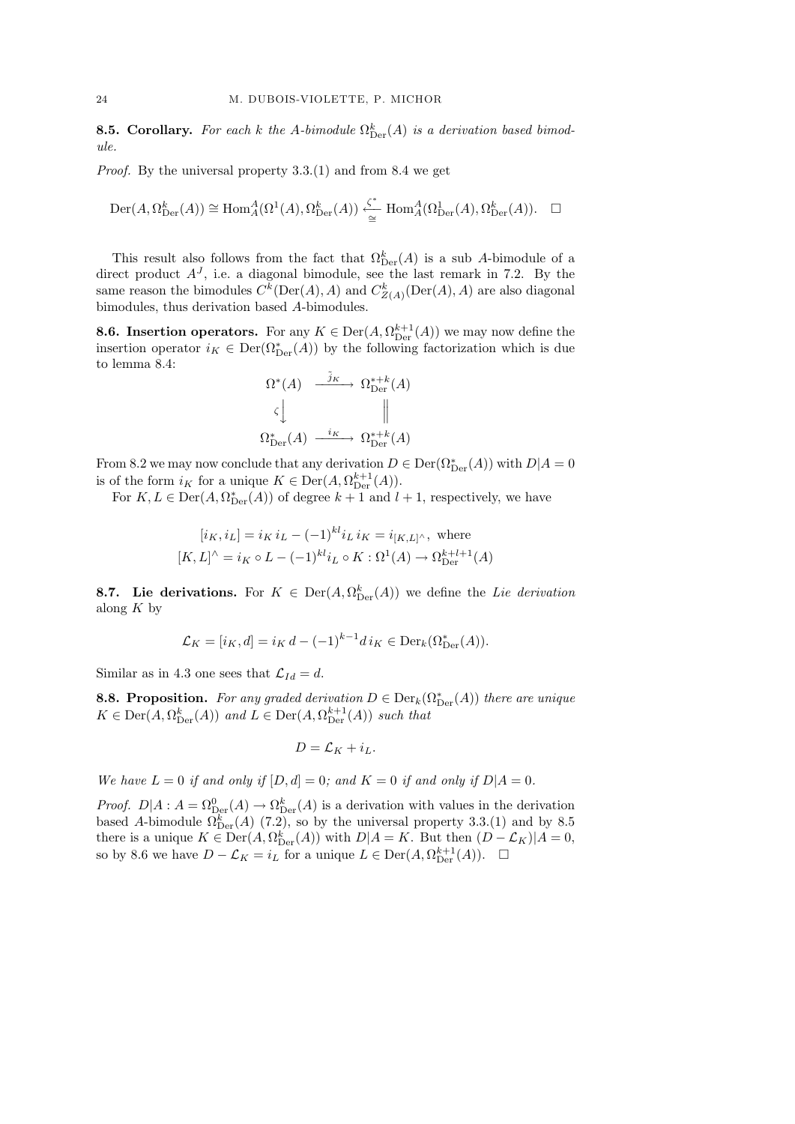**8.5. Corollary.** For each k the A-bimodule  $\Omega_{\text{Der}}^k(A)$  is a derivation based bimodule.

Proof. By the universal property 3.3.(1) and from 8.4 we get

$$
\operatorname{Der}(A, \Omega_{\operatorname{Der}}^k(A)) \cong \operatorname{Hom}^A_A(\Omega^1(A), \Omega_{\operatorname{Der}}^k(A)) \xleftarrow{\zeta^*} \operatorname{Hom}^A_A(\Omega_{\operatorname{Der}}^1(A), \Omega_{\operatorname{Der}}^k(A)). \quad \Box
$$

This result also follows from the fact that  $\Omega_{\mathrm{Der}}^k(A)$  is a sub A-bimodule of a direct product  $A<sup>J</sup>$ , i.e. a diagonal bimodule, see the last remark in 7.2. By the same reason the bimodules  $C^k(\text{Der}(A), A)$  and  $C^k_{Z(A)}(\text{Der}(A), A)$  are also diagonal bimodules, thus derivation based A-bimodules.

**8.6. Insertion operators.** For any  $K \in \text{Der}(A, \Omega_{\text{Der}}^{k+1}(A))$  we may now define the insertion operator  $i_K \in \text{Der}(\Omega^*_{\text{Der}}(A))$  by the following factorization which is due to lemma 8.4:

$$
\Omega^*(A) \xrightarrow{\tilde{j}_K} \Omega_{\text{Der}}^{*+k}(A)
$$
  

$$
\zeta \downarrow \qquad \qquad \parallel
$$
  

$$
\Omega_{\text{Der}}^*(A) \xrightarrow{i_K} \Omega_{\text{Der}}^{*+k}(A)
$$

From 8.2 we may now conclude that any derivation  $D \in \text{Der}(\Omega^*_{\text{Der}}(A))$  with  $D|A = 0$ is of the form  $i_K$  for a unique  $K \in \text{Der}(A, \Omega_{\text{Der}}^{k+1}(A)).$ 

For  $K, L \in \text{Der}(A, \Omega^*_{\text{Der}}(A))$  of degree  $k+1$  and  $l+1$ , respectively, we have

$$
[i_K, i_L] = i_K i_L - (-1)^{kl} i_L i_K = i_{[K,L]^\wedge}, \text{ where}
$$
  

$$
[K, L]^\wedge = i_K \circ L - (-1)^{kl} i_L \circ K : \Omega^1(A) \to \Omega_{\text{Der}}^{k+l+1}(A)
$$

**8.7.** Lie derivations. For  $K \in \text{Der}(A, \Omega_{\text{Der}}^k(A))$  we define the Lie derivation along  $K$  by

$$
\mathcal{L}_K = [i_K, d] = i_K d - (-1)^{k-1} d i_K \in \text{Der}_k(\Omega^*_{\text{Der}}(A)).
$$

Similar as in 4.3 one sees that  $\mathcal{L}_{Id} = d$ .

**8.8. Proposition.** For any graded derivation  $D \in \text{Der}_k(\Omega_{\text{Der}}^*(A))$  there are unique  $K \in \text{Der}(A, \Omega_{\text{Der}}^k(A))$  and  $L \in \text{Der}(A, \Omega_{\text{Der}}^{k+1}(A))$  such that

$$
D = \mathcal{L}_K + i_L.
$$

We have  $L = 0$  if and only if  $[D, d] = 0$ ; and  $K = 0$  if and only if  $D|A = 0$ .

*Proof.*  $D|A: A = \Omega_{\text{Der}}^0(A) \to \Omega_{\text{Der}}^k(A)$  is a derivation with values in the derivation based A-bimodule  $\Omega_{\text{Der}}^k(A)$  (7.2), so by the universal property 3.3.(1) and by 8.5 there is a unique  $K \in \text{Der}(A, \Omega_{\text{Der}}^k(A))$  with  $D|A = K$ . But then  $(D - \mathcal{L}_K)|A = 0$ , so by 8.6 we have  $D - \mathcal{L}_K = i_L$  for a unique  $L \in \text{Der}(A, \Omega_{\text{Der}}^{k+1}(A))$ .  $\Box$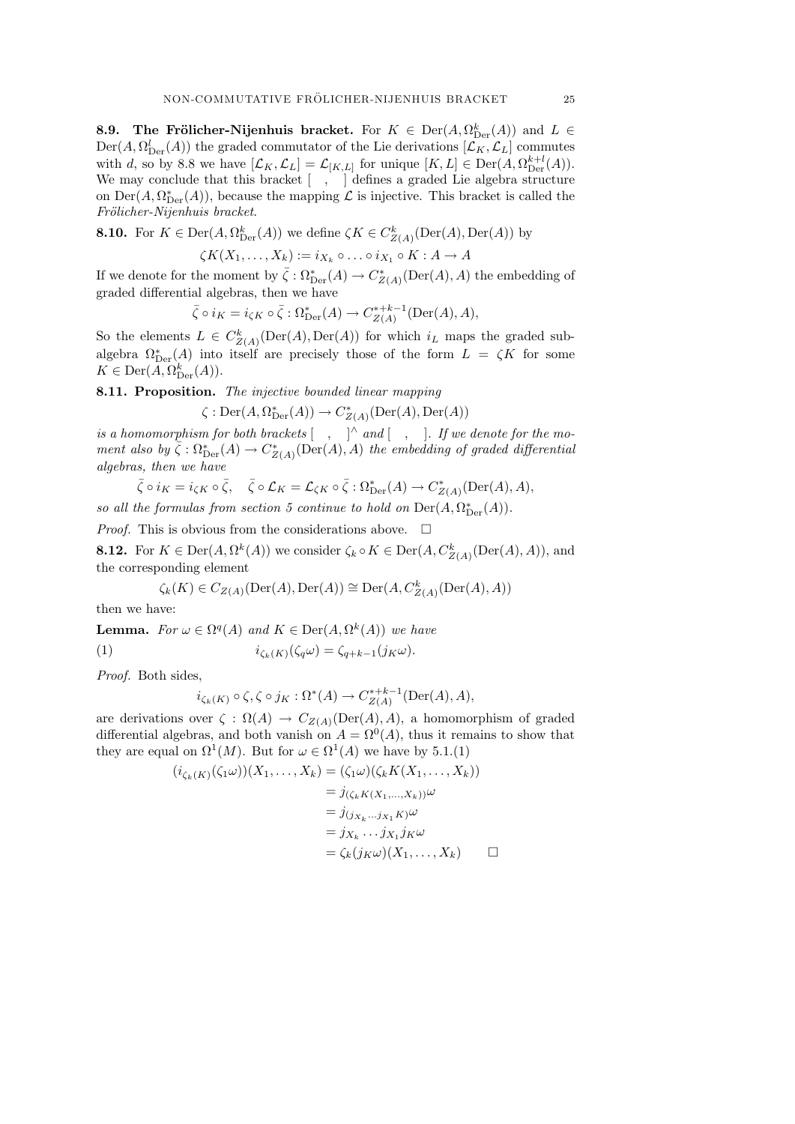**8.9.** The Frölicher-Nijenhuis bracket. For  $K \in \text{Der}(A, \Omega_{\text{Der}}^k(A))$  and  $L \in$  $Der(A, \Omega^l_{\text{Der}}(A))$  the graded commutator of the Lie derivations  $[\mathcal{L}_K, \mathcal{L}_L]$  commutes with d, so by 8.8 we have  $[\mathcal{L}_K, \mathcal{L}_L] = \mathcal{L}_{[K,L]}$  for unique  $[K, L] \in \text{Der}(A, \Omega_{\text{Der}}^{k+l}(A)).$ We may conclude that this bracket  $[\quad, \quad]$  defines a graded Lie algebra structure on  $\mathrm{Der}(A, \Omega^*_{\mathrm{Der}}(A)),$  because the mapping  $\mathcal L$  is injective. This bracket is called the Frölicher-Nijenhuis bracket.

**8.10.** For  $K \in \text{Der}(A, \Omega_{\text{Der}}^k(A))$  we define  $\zeta K \in C^k_{Z(A)}(\text{Der}(A), \text{Der}(A))$  by

$$
\zeta K(X_1,\ldots,X_k) := i_{X_k} \circ \ldots \circ i_{X_1} \circ K : A \to A
$$

If we denote for the moment by  $\bar{\zeta}: \Omega^*_{\mathrm{Der}}(A) \to C^*_{Z(A)}(\mathrm{Der}(A), A)$  the embedding of graded differential algebras, then we have

$$
\overline{\zeta} \circ i_K = i_{\zeta K} \circ \overline{\zeta} : \Omega^*_{\text{Der}}(A) \to C^{*+k-1}_{Z(A)}(\text{Der}(A), A),
$$

So the elements  $L \in C^k_{Z(A)}(\text{Der}(A), \text{Der}(A))$  for which  $i_L$  maps the graded subalgebra  $\Omega_{\text{Der}}^*(A)$  into itself are precisely those of the form  $L = \zeta K$  for some  $K \in \text{Der}(A, \Omega_{\text{Der}}^k(A)).$ 

8.11. Proposition. The injective bounded linear mapping

 $\zeta : \mathrm{Der}(A, \Omega^*_{\mathrm{Der}}(A)) \to C^*_{Z(A)}(\mathrm{Der}(A), \mathrm{Der}(A))$ 

is a homomorphism for both brackets  $\begin{bmatrix} , & \end{bmatrix}$  and  $\begin{bmatrix} , & \end{bmatrix}$ . If we denote for the moment also by  $\overline{\zeta} : \Omega_{\mathrm{Der}}^*(A) \to C_{Z(A)}^*(\mathrm{Der}(A), A)$  the embedding of graded differential algebras, then we have

$$
\bar{\zeta} \circ i_K = i_{\zeta K} \circ \bar{\zeta}, \quad \bar{\zeta} \circ \mathcal{L}_K = \mathcal{L}_{\zeta K} \circ \bar{\zeta} : \Omega^*_{\text{Der}}(A) \to C^*_{Z(A)}(\text{Der}(A), A),
$$

so all the formulas from section 5 continue to hold on  $\mathrm{Der}(A, \Omega_{\mathrm{Der}}^*(A)).$ 

*Proof.* This is obvious from the considerations above.  $\Box$ 

**8.12.** For  $K \in \text{Der}(A, \Omega^k(A))$  we consider  $\zeta_k \circ K \in \text{Der}(A, C^k_{Z(A)}(\text{Der}(A), A)),$  and the corresponding element

$$
\zeta_k(K) \in C_{Z(A)}(\mathrm{Der}(A),\mathrm{Der}(A)) \cong \mathrm{Der}(A,C^k_{Z(A)}(\mathrm{Der}(A),A))
$$

then we have:

**Lemma.** For  $\omega \in \Omega^q(A)$  and  $K \in \text{Der}(A, \Omega^k(A))$  we have (1)  $i_{\zeta_k(K)}(\zeta_q \omega) = \zeta_{q+k-1}(j_K \omega).$ 

Proof. Both sides,

$$
i_{\zeta_k(K)} \circ \zeta, \zeta \circ j_K : \Omega^*(A) \to C^{*+k-1}_{Z(A)}(\mathrm{Der}(A), A),
$$

are derivations over  $\zeta : \Omega(A) \to C_{Z(A)}(\text{Der}(A), A)$ , a homomorphism of graded differential algebras, and both vanish on  $A = \Omega^0(A)$ , thus it remains to show that they are equal on  $\Omega^1(M)$ . But for  $\omega \in \Omega^1(A)$  we have by 5.1.(1)

$$
(i_{\zeta_k(K)}(\zeta_1\omega))(X_1,\ldots,X_k) = (\zeta_1\omega)(\zeta_k K(X_1,\ldots,X_k))
$$
  
\n
$$
= j_{(\zeta_k K(X_1,\ldots,X_k))}\omega
$$
  
\n
$$
= j_{(j_{X_k}\ldots j_{X_1}K)}\omega
$$
  
\n
$$
= j_{X_k}\ldots j_{X_1}j_K\omega
$$
  
\n
$$
= \zeta_k(j_K\omega)(X_1,\ldots,X_k) \qquad \Box
$$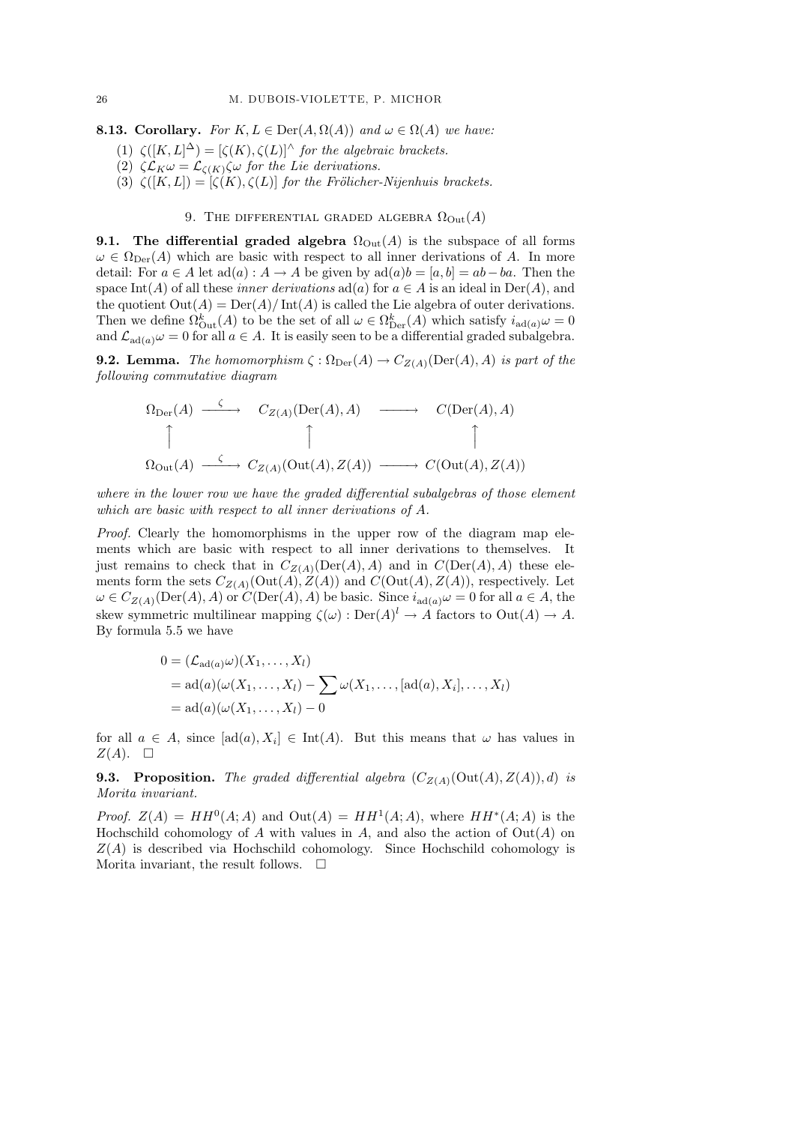**8.13. Corollary.** For  $K, L \in \text{Der}(A, \Omega(A))$  and  $\omega \in \Omega(A)$  we have:

- (1)  $\zeta([K,L]^{\Delta}) = [\zeta(K), \zeta(L)]^{\wedge}$  for the algebraic brackets.
- (2)  $\zeta \mathcal{L}_K \omega = \mathcal{L}_{\zeta(K)} \zeta \omega$  for the Lie derivations.
- (3)  $\zeta([K,L]) = [\zeta(K), \zeta(L)]$  for the Frölicher-Nijenhuis brackets.

## 9. THE DIFFERENTIAL GRADED ALGEBRA  $\Omega_{\text{Out}}(A)$

**9.1.** The differential graded algebra  $\Omega_{\text{Out}}(A)$  is the subspace of all forms  $\omega \in \Omega_{\text{Der}}(A)$  which are basic with respect to all inner derivations of A. In more detail: For  $a \in A$  let  $ad(a) : A \to A$  be given by  $ad(a)b = [a, b] = ab - ba$ . Then the space Int(A) of all these *inner derivations* ad(a) for  $a \in A$  is an ideal in Der(A), and the quotient  $\text{Out}(A) = \text{Der}(A)/\text{Int}(A)$  is called the Lie algebra of outer derivations. Then we define  $\Omega_{\text{Out}}^k(A)$  to be the set of all  $\omega \in \Omega_{\text{Der}}^k(A)$  which satisfy  $i_{\text{ad}(a)}\omega = 0$ and  $\mathcal{L}_{\text{ad}(a)}\omega = 0$  for all  $a \in A$ . It is easily seen to be a differential graded subalgebra.

**9.2. Lemma.** The homomorphism  $\zeta : \Omega_{\text{Der}}(A) \to C_{Z(A)}(\text{Der}(A), A)$  is part of the following commutative diagram

$$
\begin{array}{ccc}\n\Omega_{\text{Der}}(A) & \xrightarrow{\zeta} & C_{Z(A)}(\text{Der}(A), A) & \xrightarrow{\qquad} & C(\text{Der}(A), A) \\
\uparrow & & \uparrow & \uparrow & \uparrow \\
\Omega_{\text{Out}}(A) & \xrightarrow{\zeta} & C_{Z(A)}(\text{Out}(A), Z(A)) & \xrightarrow{\qquad} & C(\text{Out}(A), Z(A))\n\end{array}
$$

where in the lower row we have the graded differential subalgebras of those element which are basic with respect to all inner derivations of A.

Proof. Clearly the homomorphisms in the upper row of the diagram map elements which are basic with respect to all inner derivations to themselves. It just remains to check that in  $C_{Z(A)}(\text{Der}(A), A)$  and in  $C(\text{Der}(A), A)$  these elements form the sets  $C_{Z(A)}(\text{Out}(A), Z(A))$  and  $C(\text{Out}(A), Z(A))$ , respectively. Let  $\omega \in C_{Z(A)}(\text{Der}(A), A)$  or  $C(\text{Der}(A), A)$  be basic. Since  $i_{ad(a)}\omega = 0$  for all  $a \in A$ , the skew symmetric multilinear mapping  $\zeta(\omega) : Der(A)^l \to A$  factors to  $Out(A) \to A$ . By formula 5.5 we have

$$
0 = (\mathcal{L}_{\text{ad}(a)}\omega)(X_1, \dots, X_l)
$$
  
= ad(a)(\omega(X\_1, \dots, X\_l) - \sum \omega(X\_1, \dots, [\text{ad}(a), X\_i], \dots, X\_l)  
= ad(a)(\omega(X\_1, \dots, X\_l) - 0

for all  $a \in A$ , since  $[\text{ad}(a), X_i] \in \text{Int}(A)$ . But this means that  $\omega$  has values in  $Z(A)$ .  $\square$ 

**9.3. Proposition.** The graded differential algebra  $(C_{Z(A)}(\text{Out}(A), Z(A)), d)$  is Morita invariant.

*Proof.*  $Z(A) = HH^0(A;A)$  and  $Out(A) = HH^1(A;A)$ , where  $HH^*(A;A)$  is the Hochschild cohomology of A with values in A, and also the action of  $Out(A)$  on  $Z(A)$  is described via Hochschild cohomology. Since Hochschild cohomology is Morita invariant, the result follows.  $\Box$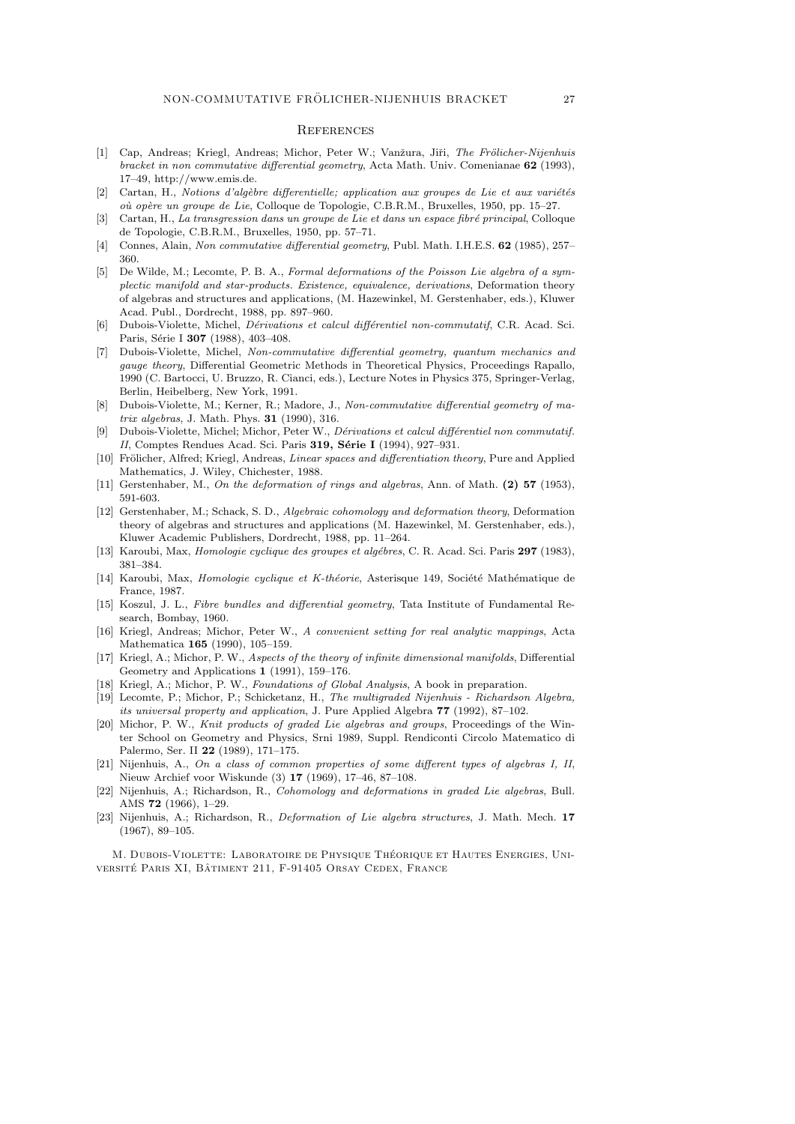#### **REFERENCES**

- [1] Cap, Andreas; Kriegl, Andreas; Michor, Peter W.; Vanžura, Jiři, The Frölicher-Nijenhuis bracket in non commutative differential geometry, Acta Math. Univ. Comenianae 62 (1993), 17–49, http://www.emis.de.
- [2] Cartan, H., Notions d'algèbre differentielle; application aux groupes de Lie et aux variétés où opère un groupe de Lie, Colloque de Topologie, C.B.R.M., Bruxelles, 1950, pp. 15–27.
- [3] Cartan, H., La transgression dans un groupe de Lie et dans un espace fibré principal, Colloque de Topologie, C.B.R.M., Bruxelles, 1950, pp. 57–71.
- [4] Connes, Alain, Non commutative differential geometry, Publ. Math. I.H.E.S. 62 (1985), 257– 360.
- [5] De Wilde, M.; Lecomte, P. B. A., Formal deformations of the Poisson Lie algebra of a symplectic manifold and star-products. Existence, equivalence, derivations, Deformation theory of algebras and structures and applications, (M. Hazewinkel, M. Gerstenhaber, eds.), Kluwer Acad. Publ., Dordrecht, 1988, pp. 897–960.
- [6] Dubois-Violette, Michel, *Dérivations et calcul différentiel non-commutatif*, C.R. Acad. Sci. Paris, Série I 307 (1988), 403-408.
- [7] Dubois-Violette, Michel, Non-commutative differential geometry, quantum mechanics and gauge theory, Differential Geometric Methods in Theoretical Physics, Proceedings Rapallo, 1990 (C. Bartocci, U. Bruzzo, R. Cianci, eds.), Lecture Notes in Physics 375, Springer-Verlag, Berlin, Heibelberg, New York, 1991.
- [8] Dubois-Violette, M.; Kerner, R.; Madore, J., Non-commutative differential geometry of matrix algebras, J. Math. Phys. 31 (1990), 316.
- [9] Dubois-Violette, Michel; Michor, Peter W., Dérivations et calcul différentiel non commutatif. II, Comptes Rendues Acad. Sci. Paris 319, Série I (1994), 927-931.
- [10] Frölicher, Alfred; Kriegl, Andreas, *Linear spaces and differentiation theory*, Pure and Applied Mathematics, J. Wiley, Chichester, 1988.
- [11] Gerstenhaber, M., On the deformation of rings and algebras, Ann. of Math. (2) 57 (1953), 591-603.
- [12] Gerstenhaber, M.; Schack, S. D., Algebraic cohomology and deformation theory, Deformation theory of algebras and structures and applications (M. Hazewinkel, M. Gerstenhaber, eds.), Kluwer Academic Publishers, Dordrecht, 1988, pp. 11–264.
- [13] Karoubi, Max, Homologie cyclique des groupes et algébres, C. R. Acad. Sci. Paris 297 (1983), 381–384.
- [14] Karoubi, Max, Homologie cyclique et K-théorie, Asterisque 149, Société Mathématique de France, 1987.
- [15] Koszul, J. L., Fibre bundles and differential geometry, Tata Institute of Fundamental Research, Bombay, 1960.
- [16] Kriegl, Andreas; Michor, Peter W., A convenient setting for real analytic mappings, Acta Mathematica 165 (1990), 105–159.
- [17] Kriegl, A.; Michor, P. W., Aspects of the theory of infinite dimensional manifolds, Differential Geometry and Applications 1 (1991), 159–176.
- [18] Kriegl, A.; Michor, P. W., Foundations of Global Analysis, A book in preparation.
- [19] Lecomte, P.; Michor, P.; Schicketanz, H., The multigraded Nijenhuis Richardson Algebra, its universal property and application, J. Pure Applied Algebra 77 (1992), 87–102.
- [20] Michor, P. W., Knit products of graded Lie algebras and groups, Proceedings of the Winter School on Geometry and Physics, Srni 1989, Suppl. Rendiconti Circolo Matematico di Palermo, Ser. II 22 (1989), 171–175.
- [21] Nijenhuis, A., On a class of common properties of some different types of algebras I, II, Nieuw Archief voor Wiskunde (3) 17 (1969), 17–46, 87–108.
- [22] Nijenhuis, A.; Richardson, R., Cohomology and deformations in graded Lie algebras, Bull. AMS 72 (1966), 1–29.
- [23] Nijenhuis, A.; Richardson, R., *Deformation of Lie algebra structures*, J. Math. Mech. 17 (1967), 89–105.

M. DUBOIS-VIOLETTE: LABORATOIRE DE PHYSIQUE THÉORIQUE ET HAUTES ENERGIES, UNIversité Paris XI, Bâtiment 211, F-91405 Orsay Cedex, France